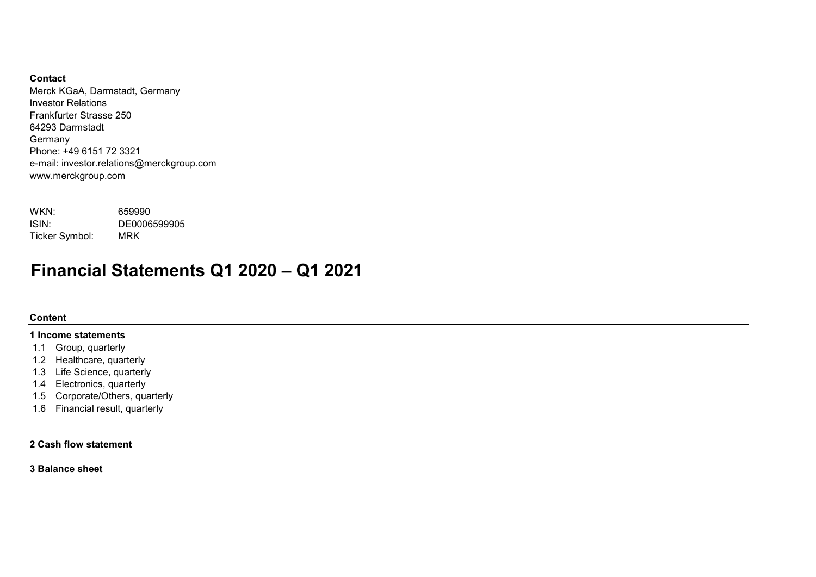#### **Contact**

Merck KGaA, Darmstadt, Germany Investor Relations Frankfurter Strasse 250 64293 Darmstadt Germany Phone: +49 6151 72 3321 e-mail: investor.relations@merckgroup.com www.merckgroup.com

| WKN:           | 659990       |
|----------------|--------------|
| ISIN:          | DE0006599905 |
| Ticker Symbol: | MRK          |

# **Financial Statements Q1 2020 – Q1 2021**

#### **Content**

#### **1 Income statements**

- 1.1 Group, quarterly
- 1.2 Healthcare, quarterly
- 1.3 Life Science, quarterly
- 1.4 Electronics, quarterly
- 1.5 Corporate/Others, quarterly
- 1.6 Financial result, quarterly

**2 Cash flow statement**

**3 Balance sheet**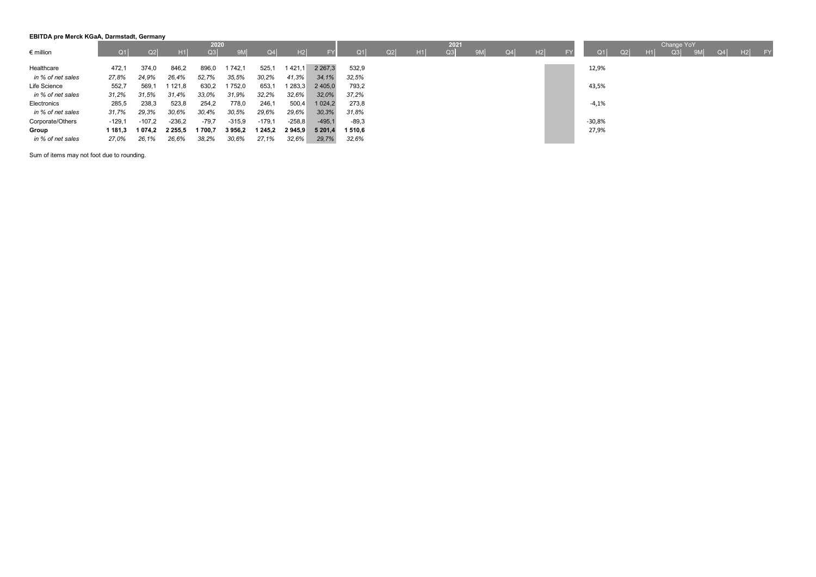# **EBITDA pre Merck KGaA, Darmstadt, Germany**

|                    |          |          |             | 2020    |           |          |          |             |         |    |    | 2021 |    |    |    |          |    |    | Change YoY |      |    |           |
|--------------------|----------|----------|-------------|---------|-----------|----------|----------|-------------|---------|----|----|------|----|----|----|----------|----|----|------------|------|----|-----------|
| $\epsilon$ million | Q1       | Q2       | H1          | Q3      | <b>9M</b> | Q4       | H2       | FY          | Q1      | Q2 | H1 | Q3   | 9M | Q4 | H2 | O1       | Q2 | H1 | Q3         | O4 I | H2 | <b>FY</b> |
| Healthcare         | 472,1    | 374,0    | 846,2       | 896,0   | 1742,7    | 525,7    | 1 421,1  | 2 2 6 7 , 3 | 532,9   |    |    |      |    |    |    | 12,9%    |    |    |            |      |    |           |
| in % of net sales  | 27,8%    | 24,9%    | 26,4%       | 52,7%   | 35,5%     | 30,2%    | 41,3%    | 34,1%       | 32,5%   |    |    |      |    |    |    |          |    |    |            |      |    |           |
| Life Science       | 552,7    | 569,1    | 1 121,8     | 630,2   | 1752,0    | 653,1    | 1 283,3  | 2 4 0 5,0   | 793,2   |    |    |      |    |    |    | 43,5%    |    |    |            |      |    |           |
| in % of net sales  | 31,2%    | 31,5%    | 31,4%       | 33,0%   | 31,9%     | 32,2%    | 32,6%    | 32,0%       | 37,2%   |    |    |      |    |    |    |          |    |    |            |      |    |           |
| Electronics        | 285,5    | 238,3    | 523,8       | 254,2   | 778,0     | 246,1    | 500,4    | 1 0 24, 2   | 273,8   |    |    |      |    |    |    | $-4,1%$  |    |    |            |      |    |           |
| in % of net sales  | 31,7%    | 29,3%    | 30,6%       | 30,4%   | 30,5%     | 29,6%    | 29,6%    | 30,3%       | 31,8%   |    |    |      |    |    |    |          |    |    |            |      |    |           |
| Corporate/Others   | $-129,1$ | $-107,2$ | $-236,2$    | $-79,7$ | $-315,9$  | $-179,1$ | $-258,8$ | $-495,7$    | $-89,3$ |    |    |      |    |    |    | $-30,8%$ |    |    |            |      |    |           |
| Group              | 1 181,3  | 1 074,2  | 2 2 5 5 , 5 | 1700,7  | 3 956,2   | 1 245,2  | 2 945,9  | 5 201,4     | 1 510,6 |    |    |      |    |    |    | 27,9%    |    |    |            |      |    |           |
| in % of net sales  | 27,0%    | 26,1%    | 26,6%       | 38,2%   | 30,6%     | 27,1%    | 32,6%    | 29,7%       | 32,6%   |    |    |      |    |    |    |          |    |    |            |      |    |           |

|    |                   |    |    | Change YoY |    |    |    |           |
|----|-------------------|----|----|------------|----|----|----|-----------|
| Ϋ́ | Q1                | Q2 | H1 | Q3         | 9M | Q4 | H2 | <b>FY</b> |
|    | 12,9%             |    |    |            |    |    |    |           |
|    | 43,5%             |    |    |            |    |    |    |           |
|    | $-4,1%$           |    |    |            |    |    |    |           |
|    | $-30,8%$<br>27,9% |    |    |            |    |    |    |           |
|    |                   |    |    |            |    |    |    |           |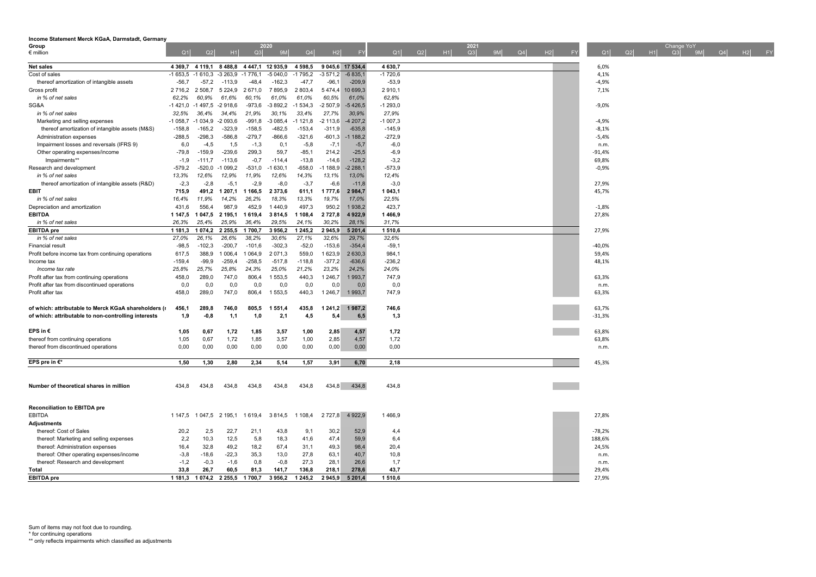| Group                                                |            |          |                       |          | 2020                                            |            |                       |           |           |    |                | 2021 |           |    |    |           |                |    |    | <b>Change YoY</b> |    |    |    |           |
|------------------------------------------------------|------------|----------|-----------------------|----------|-------------------------------------------------|------------|-----------------------|-----------|-----------|----|----------------|------|-----------|----|----|-----------|----------------|----|----|-------------------|----|----|----|-----------|
| $\epsilon$ million                                   | Q1         | Q2       | H1                    | Q3       | Q <sub>M</sub>                                  | Q4         | H2                    | <b>FY</b> | Q1        | Q2 | H <sub>1</sub> | Q3   | <b>9M</b> | Q4 | H2 | <b>FY</b> | Q <sub>1</sub> | Q2 | H1 | Q3                | 9M | Q4 | H2 | <b>FY</b> |
| <b>Net sales</b>                                     | 4 3 6 9, 7 |          |                       |          | 4 119,1 8 488,8 4 447,1 12 935,9                | 4 598,5    | 9 045,6 17 534,4      |           | 4 630,7   |    |                |      |           |    |    |           | 6,0%           |    |    |                   |    |    |    |           |
| Cost of sales                                        | $-1653,5$  | -1 610,3 | $-3,263,9$ $-1,776,1$ |          | -5 040,0                                        | $-1795,2$  | $-3,571,2$ $-6,835,1$ |           | $-1720,6$ |    |                |      |           |    |    |           | 4,1%           |    |    |                   |    |    |    |           |
| thereof amortization of intangible assets            | $-56,7$    | $-57,2$  | $-113,9$              | $-48,4$  | $-162,3$                                        | $-47,7$    | $-96,1$               | $-209,9$  | $-53,9$   |    |                |      |           |    |    |           | $-4,9%$        |    |    |                   |    |    |    |           |
| Gross profit                                         | 2 7 1 6, 2 | 2 508,7  | 5 2 2 4 , 9           | 2 671,0  | 7895,9                                          | 2 803,4    | 5474,4                | 10 699,3  | 2910,1    |    |                |      |           |    |    |           | 7,1%           |    |    |                   |    |    |    |           |
| in % of net sales                                    | 62,2%      | 60,9%    | 61,6%                 | 60,1%    | 61,0%                                           | 61,0%      | 60,5%                 | 61,0%     | 62,8%     |    |                |      |           |    |    |           |                |    |    |                   |    |    |    |           |
| SG&A                                                 | $-1421,0$  | -1 497,5 | $-2918,6$             | $-973,6$ | $-3892,2$                                       | $-1,534,3$ | $-2507,9$             | $-5426,5$ | $-1293,0$ |    |                |      |           |    |    |           | -9,0%          |    |    |                   |    |    |    |           |
| in % of net sales                                    | 32,5%      | 36,4%    | 34,4%                 | 21,9%    | 30,1%                                           | 33,4%      | 27,7%                 | 30,9%     | 27,9%     |    |                |      |           |    |    |           |                |    |    |                   |    |    |    |           |
| Marketing and selling expenses                       | $-1058,7$  | -1 034,9 | $-2093,6$             | $-991,8$ | $-3085,4$                                       | $-1$ 121,8 | $-2$ 113,6            | $-4207,2$ | $-1007,3$ |    |                |      |           |    |    |           | $-4,9%$        |    |    |                   |    |    |    |           |
| thereof amortization of intangible assets (M&S)      | $-158,8$   | $-165,2$ | $-323,9$              | $-158,5$ | $-482,5$                                        | $-153,4$   | $-311,9$              | $-635,8$  | $-145,9$  |    |                |      |           |    |    |           | $-8,1%$        |    |    |                   |    |    |    |           |
| Administration expenses                              | $-288,5$   | $-298,3$ | $-586,8$              | $-279,7$ | $-866,6$                                        | $-321,6$   | $-601,3$              | $-1188,2$ | $-272,9$  |    |                |      |           |    |    |           | $-5,4%$        |    |    |                   |    |    |    |           |
| Impairment losses and reversals (IFRS 9)             | 6,0        | $-4,5$   | 1,5                   | $-1,3$   | 0,1                                             | $-5,8$     | $-7,1$                | $-5,7$    | $-6,0$    |    |                |      |           |    |    |           | n.m.           |    |    |                   |    |    |    |           |
| Other operating expenses/income                      | $-79,8$    | $-159,9$ | $-239,6$              | 299,3    | 59,7                                            | $-85,7$    | 214,2                 | $-25,5$   | $-6,9$    |    |                |      |           |    |    |           | $-91,4%$       |    |    |                   |    |    |    |           |
| Impairments**                                        | $-1,9$     | $-111,7$ | $-113,6$              | $-0,7$   | $-114,4$                                        | $-13,8$    | $-14,6$               | $-128,2$  | $-3,2$    |    |                |      |           |    |    |           | 69,8%          |    |    |                   |    |    |    |           |
| Research and development                             | $-579,2$   | $-520,0$ | $-1099,2$             | $-531,0$ | $-1630,7$                                       | $-658,0$   | $-1188,9$             | $-2288,1$ | $-573,9$  |    |                |      |           |    |    |           | $-0,9%$        |    |    |                   |    |    |    |           |
| in % of net sales                                    | 13,3%      | 12,6%    | 12,9%                 | 11,9%    | 12,6%                                           | 14,3%      | 13,1%                 | 13,0%     | 12,4%     |    |                |      |           |    |    |           |                |    |    |                   |    |    |    |           |
| thereof amortization of intangible assets (R&D)      | $-2,3$     | $-2,8$   | $-5,1$                | $-2,9$   | $-8,0$                                          | $-3,7$     | -6,6                  | $-11,8$   | $-3,0$    |    |                |      |           |    |    |           | 27,9%          |    |    |                   |    |    |    |           |
| <b>EBIT</b>                                          | 715,9      | 491,2    | 1 207,1               | 1 166,5  | 2 3 7 3 , 6                                     | 611,1      | 1 777,6               | 2984,7    | 1 043,1   |    |                |      |           |    |    |           | 45,7%          |    |    |                   |    |    |    |           |
| in % of net sales                                    | 16,4%      | 11,9%    | 14,2%                 | 26,2%    | 18,3%                                           | 13,3%      | 19,7%                 | 17,0%     | 22,5%     |    |                |      |           |    |    |           |                |    |    |                   |    |    |    |           |
| Depreciation and amortization                        | 431,6      | 556,4    | 987,9                 | 452,9    | 1440,9                                          | 497,3      | 950,2                 | 1938,2    | 423,7     |    |                |      |           |    |    |           | $-1,8%$        |    |    |                   |    |    |    |           |
| <b>EBITDA</b>                                        | 1 147,5    | 1 047,5  | 2 195,1               | 1 619,4  | 3 814,5                                         | 1 108,4    | 2727,8                | 4 9 2 2,9 | 1466,9    |    |                |      |           |    |    |           | 27,8%          |    |    |                   |    |    |    |           |
| in % of net sales                                    | 26,3%      | 25,4%    | 25,9%                 | 36,4%    | 29,5%                                           | 24,1%      | 30,2%                 | 28,1%     | 31,7%     |    |                |      |           |    |    |           |                |    |    |                   |    |    |    |           |
| <b>EBITDA</b> pre                                    | 1 181,3    | 1 074,2  | 2 2 5 5 , 5           | 1700,7   | 3 9 5 6, 2                                      | 1 245,2    | 2 945,9               | 5 201,4   | 1 510,6   |    |                |      |           |    |    |           | 27,9%          |    |    |                   |    |    |    |           |
| in % of net sales                                    | 27,0%      | 26,1%    | 26,6%                 | 38,2%    | 30,6%                                           | 27,1%      | 32,6%                 | 29,7%     | 32,6%     |    |                |      |           |    |    |           |                |    |    |                   |    |    |    |           |
| <b>Financial result</b>                              | $-98,5$    | $-102,3$ | $-200,7$              | $-101,6$ | $-302,3$                                        | $-52,0$    | $-153,6$              | $-354,4$  | $-59,1$   |    |                |      |           |    |    |           | $-40,0%$       |    |    |                   |    |    |    |           |
| Profit before income tax from continuing operations  | 617,5      | 388,9    | 006,4                 | 1 0 64,9 | 2 0 7 1 , 3                                     | 559,0      | 1 623,9               | 2 630,3   | 984,1     |    |                |      |           |    |    |           | 59,4%          |    |    |                   |    |    |    |           |
| Income tax                                           | $-159,4$   | $-99,9$  | $-259,4$              | $-258,5$ | $-517,8$                                        | $-118,8$   | $-377,2$              | $-636,6$  | $-236,2$  |    |                |      |           |    |    |           | 48,1%          |    |    |                   |    |    |    |           |
| Income tax rate                                      | 25,8%      | 25,7%    | 25,8%                 | 24,3%    | 25,0%                                           | 21,2%      | 23,2%                 | 24,2%     | 24,0%     |    |                |      |           |    |    |           |                |    |    |                   |    |    |    |           |
| Profit after tax from continuing operations          | 458,0      | 289,0    | 747,0                 | 806,4    | 1 553,5                                         | 440,3      | 1 246,7               | 1993,7    | 747,9     |    |                |      |           |    |    |           | 63,3%          |    |    |                   |    |    |    |           |
| Profit after tax from discontinued operations        | 0,0        | 0.0      | 0.0                   | 0.0      | 0,0                                             | 0,0        | 0,0                   | 0,0       | 0,0       |    |                |      |           |    |    |           | n.m.           |    |    |                   |    |    |    |           |
| Profit after tax                                     | 458,0      | 289,0    | 747,0                 | 806,4    | 1 553,5                                         | 440,3      | 1246,7                | 1993,7    | 747,9     |    |                |      |           |    |    |           | 63,3%          |    |    |                   |    |    |    |           |
|                                                      |            |          |                       |          |                                                 |            |                       |           |           |    |                |      |           |    |    |           |                |    |    |                   |    |    |    |           |
| of which: attributable to Merck KGaA shareholders (r | 456,1      | 289,8    | 746,0                 | 805,5    | 1 551,4                                         | 435,8      | 1241,2                | 1987,2    | 746,6     |    |                |      |           |    |    |           | 63,7%          |    |    |                   |    |    |    |           |
| of which: attributable to non-controlling interests  | 1,9        | $-0,8$   | 1,1                   | 1,0      | 2,1                                             | 4,5        | 5,4                   | 6,5       | 1,3       |    |                |      |           |    |    |           | $-31,3%$       |    |    |                   |    |    |    |           |
|                                                      |            |          |                       |          |                                                 |            |                       |           |           |    |                |      |           |    |    |           |                |    |    |                   |    |    |    |           |
| EPS in $\epsilon$                                    | 1,05       | 0,67     | 1,72                  | 1,85     | 3,57                                            | 1,00       | 2,85                  | 4,57      | 1,72      |    |                |      |           |    |    |           | 63,8%          |    |    |                   |    |    |    |           |
| thereof from continuing operations                   | 1,05       | 0,67     | 1,72                  | 1,85     | 3,57                                            | 1,00       | 2,85                  | 4,57      | 1,72      |    |                |      |           |    |    |           | 63,8%          |    |    |                   |    |    |    |           |
| thereof from discontinued operations                 | 0,00       | 0,00     | 0,00                  | 0,00     | 0,00                                            | 0,00       | 0,00                  | 0,00      | 0,00      |    |                |      |           |    |    |           | n.m.           |    |    |                   |    |    |    |           |
| EPS pre in $\epsilon^*$                              |            |          |                       |          |                                                 |            |                       |           |           |    |                |      |           |    |    |           |                |    |    |                   |    |    |    |           |
|                                                      | 1,50       | 1,30     | 2,80                  | 2,34     | 5,14                                            | 1,57       | 3,91                  | 6,70      | 2,18      |    |                |      |           |    |    |           | 45,3%          |    |    |                   |    |    |    |           |
|                                                      |            |          |                       |          |                                                 |            |                       |           |           |    |                |      |           |    |    |           |                |    |    |                   |    |    |    |           |
| Number of theoretical shares in million              | 434,8      | 434,8    | 434,8                 | 434,8    | 434,8                                           | 434,8      | 434,8                 | 434,8     | 434,8     |    |                |      |           |    |    |           |                |    |    |                   |    |    |    |           |
|                                                      |            |          |                       |          |                                                 |            |                       |           |           |    |                |      |           |    |    |           |                |    |    |                   |    |    |    |           |
|                                                      |            |          |                       |          |                                                 |            |                       |           |           |    |                |      |           |    |    |           |                |    |    |                   |    |    |    |           |
| <b>Reconciliation to EBITDA pre</b>                  |            |          |                       |          |                                                 |            |                       |           |           |    |                |      |           |    |    |           |                |    |    |                   |    |    |    |           |
| <b>EBITDA</b>                                        |            |          |                       |          | 1 147,5 1 047,5 2 195,1 1 619,4 3 814,5 1 108,4 |            | 2 727,8 4 922,9       |           | 1466,9    |    |                |      |           |    |    |           | 27,8%          |    |    |                   |    |    |    |           |
| <b>Adjustments</b>                                   |            |          |                       |          |                                                 |            |                       |           |           |    |                |      |           |    |    |           |                |    |    |                   |    |    |    |           |
| thereof: Cost of Sales                               | 20,2       | 2,5      | 22,7                  | 21,1     | 43,8                                            | 9,1        | 30,2                  | 52,9      | 4,4       |    |                |      |           |    |    |           | $-78,2%$       |    |    |                   |    |    |    |           |
| thereof: Marketing and selling expenses              | 2,2        | 10,3     | 12,5                  | 5,8      | 18,3                                            | 41,6       | 47,4                  | 59,9      | 6,4       |    |                |      |           |    |    |           | 188,6%         |    |    |                   |    |    |    |           |
| thereof: Administration expenses                     | 16,4       | 32,8     | 49,2                  | 18,2     | 67,4                                            | 31,1       | 49,3                  | 98,4      | 20,4      |    |                |      |           |    |    |           | 24,5%          |    |    |                   |    |    |    |           |
| thereof: Other operating expenses/income             | $-3,8$     | $-18,6$  | $-22,3$               | 35,3     | 13,0                                            | 27,8       | 63,1                  | 40,7      | 10,8      |    |                |      |           |    |    |           | n.m.           |    |    |                   |    |    |    |           |
| thereof: Research and development                    | $-1,2$     | $-0,3$   | $-1,6$                | 0,8      | $-0,8$                                          | 27,3       | 28,1                  | 26,6      | 1,7       |    |                |      |           |    |    |           | n.m.           |    |    |                   |    |    |    |           |
| <b>Total</b>                                         | 33,8       | 26,7     | 60,5                  | 81,3     | 141,7                                           | 136,8      | 218,1                 | 278,6     | 43,7      |    |                |      |           |    |    |           | 29,4%          |    |    |                   |    |    |    |           |
| <b>EBITDA</b> pre                                    | 1 181,3    |          | 1 074,2 2 255,5       | 1 700,7  | 3 956,2                                         | 1 245,2    | 2945,9                | 5 201,4   | 1 510,6   |    |                |      |           |    |    |           | 27,9%          |    |    |                   |    |    |    |           |

\*\* only reflects impairments which classified as adjustments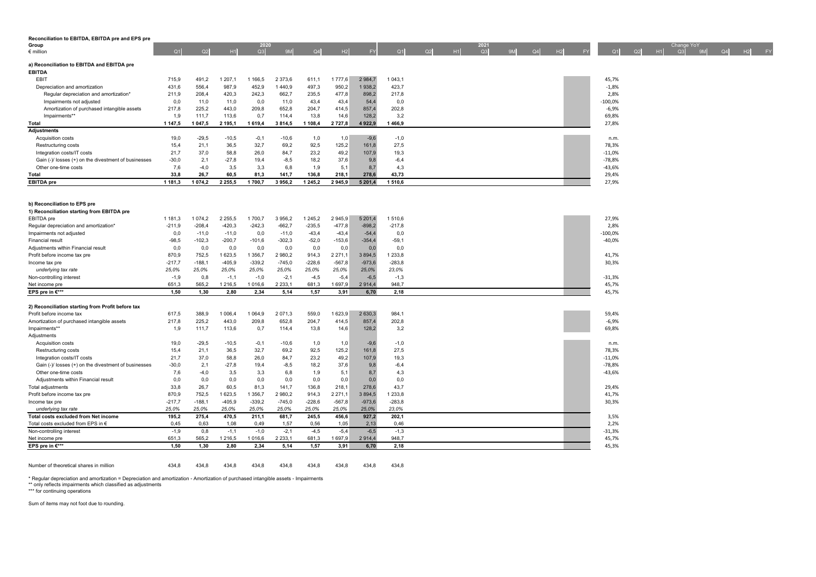| Reconciliation to EBITDA, EBITDA pre and EPS pre                           |          |             |             |             |             |          |             |             |          |    |    |            |    |    |                 |           |    |                      |                  |    |          |
|----------------------------------------------------------------------------|----------|-------------|-------------|-------------|-------------|----------|-------------|-------------|----------|----|----|------------|----|----|-----------------|-----------|----|----------------------|------------------|----|----------|
| Group<br>$\epsilon$ million                                                | Q1       | Q2          | H1          | 2020<br>Q3  | 9M          | Q4       | H2          | <b>FY</b>   | Q1       | Q2 | H1 | 2021<br>Q3 | 9M | Q4 | H2<br><b>FY</b> | Q1        | Q2 | H1<br>Q <sub>3</sub> | Change YoY<br>9M | Q4 | H2<br>FY |
| a) Reconciliation to EBITDA and EBITDA pre                                 |          |             |             |             |             |          |             |             |          |    |    |            |    |    |                 |           |    |                      |                  |    |          |
| <b>EBITDA</b>                                                              |          |             |             |             |             |          |             |             |          |    |    |            |    |    |                 |           |    |                      |                  |    |          |
| <b>EBIT</b>                                                                | 715,9    | 491,2       | 1 207,1     | 1 166,5     | 2 3 7 3 , 6 | 611,1    | 1 777,6     | 2 9 8 4 , 7 | 1 043,1  |    |    |            |    |    |                 | 45,7%     |    |                      |                  |    |          |
| Depreciation and amortization                                              | 431,6    | 556,4       | 987,9       | 452,9       | 1440,9      | 497,3    | 950,2       | 1938,2      | 423,7    |    |    |            |    |    |                 | $-1,8%$   |    |                      |                  |    |          |
| Regular depreciation and amortization*                                     | 211,9    | 208,4       | 420,3       | 242,3       | 662,7       | 235,5    | 477,8       | 898,2       | 217,8    |    |    |            |    |    |                 | 2,8%      |    |                      |                  |    |          |
| Impairments not adjusted                                                   | 0,0      | 11,0        | 11,0        | 0,0         | 11,0        | 43,4     | 43,4        | 54,4        | 0,0      |    |    |            |    |    |                 | $-100,0%$ |    |                      |                  |    |          |
| Amortization of purchased intangible assets                                | 217,8    | 225,2       | 443,0       | 209,8       | 652,8       | 204,7    | 414,5       | 857,4       | 202,8    |    |    |            |    |    |                 | $-6,9%$   |    |                      |                  |    |          |
| Impairments**                                                              | 1,9      | 111,7       | 113,6       | 0,7         | 114,4       | 13,8     | 14,6        | 128,2       | 3,2      |    |    |            |    |    |                 | 69,8%     |    |                      |                  |    |          |
| <b>Total</b>                                                               | 1 147,5  | 1 047,5     | 2 195,1     | 1 619,4     | 3 8 1 4 , 5 | 1 108,4  | 2 7 2 7,8   | 4 9 22,9    | 1466,9   |    |    |            |    |    |                 | 27,8%     |    |                      |                  |    |          |
| <b>Adjustments</b>                                                         |          |             |             |             |             |          |             |             |          |    |    |            |    |    |                 |           |    |                      |                  |    |          |
| Acquisition costs                                                          | 19,0     | $-29,5$     | $-10,5$     | $-0,1$      | $-10,6$     | 1,0      | 1,0         | $-9,6$      | $-1,0$   |    |    |            |    |    |                 | n.m.      |    |                      |                  |    |          |
| Restructuring costs                                                        | 15,4     | 21,1        | 36,5        | 32,7        | 69,2        | 92,5     | 125,2       | 161,8       | 27,5     |    |    |            |    |    |                 | 78,3%     |    |                      |                  |    |          |
| Integration costs/IT costs                                                 | 21,7     | 37,0        | 58,8        | 26,0        | 84,7        | 23,2     | 49,2        | 107,9       | 19,3     |    |    |            |    |    |                 | $-11,0%$  |    |                      |                  |    |          |
| Gain (-)/ losses (+) on the divestment of businesses                       | $-30,0$  | 2,1         | $-27,8$     | 19,4        | $-8,5$      | 18,2     | 37,6        | 9,8         | $-6,4$   |    |    |            |    |    |                 | $-78,8%$  |    |                      |                  |    |          |
| Other one-time costs                                                       | 7,6      | $-4,0$      | 3,5         | 3,3         | 6,8         | 1,9      | 5,1         | 8,7         | 4,3      |    |    |            |    |    |                 | $-43,6%$  |    |                      |                  |    |          |
| <b>Total</b>                                                               | 33,8     | 26,7        | 60,5        | 81,3        | 141,7       | 136,8    | 218,1       | 278,6       | 43,73    |    |    |            |    |    |                 | 29,4%     |    |                      |                  |    |          |
| <b>EBITDA</b> pre                                                          | 1 181,3  | 1 0 7 4 , 2 | 2 2 5 5 , 5 | 1700,7      | 3 9 5 6, 2  | 1 245,2  | 2945,9      | 5 201,4     | 1 510,6  |    |    |            |    |    |                 | 27,9%     |    |                      |                  |    |          |
|                                                                            |          |             |             |             |             |          |             |             |          |    |    |            |    |    |                 |           |    |                      |                  |    |          |
| b) Reconciliation to EPS pre<br>1) Reconciliation starting from EBITDA pre |          |             |             |             |             |          |             |             |          |    |    |            |    |    |                 |           |    |                      |                  |    |          |
| EBITDA pre                                                                 | 1 181,3  | 1 0 7 4 , 2 | 2 2 5 5, 5  | 1700,7      | 3 9 5 6, 2  | 1 245,2  | 2 945,9     | 5 201,4     | 1510,6   |    |    |            |    |    |                 | 27,9%     |    |                      |                  |    |          |
| Regular depreciation and amortization*                                     | $-211,9$ | $-208,4$    | $-420,3$    | $-242,3$    | $-662,7$    | $-235,5$ | $-477,8$    | $-898,2$    | $-217,8$ |    |    |            |    |    |                 | 2,8%      |    |                      |                  |    |          |
|                                                                            |          | $-11,0$     |             |             |             |          |             | $-54,4$     |          |    |    |            |    |    |                 |           |    |                      |                  |    |          |
| Impairments not adjusted<br>Financial result                               | 0,0      |             | $-11,0$     | 0,0         | $-11,0$     | $-43,4$  | $-43,4$     |             | 0,0      |    |    |            |    |    |                 | $-100,0%$ |    |                      |                  |    |          |
|                                                                            | $-98,5$  | $-102,3$    | $-200,7$    | $-101,6$    | $-302,3$    | $-52,0$  | $-153,6$    | $-354,4$    | $-59,1$  |    |    |            |    |    |                 | $-40,0%$  |    |                      |                  |    |          |
| Adjustments within Financial result                                        | 0,0      | 0,0         | 0,0         | 0,0         | 0,0         | 0,0      | 0,0         | 0,0         | 0,0      |    |    |            |    |    |                 |           |    |                      |                  |    |          |
| Profit before income tax pre                                               | 870,9    | 752,5       | 1 623,5     | 1 356,7     | 2 980,2     | 914,3    | 2 2 7 1 , 1 | 3 8 9 4 , 5 | 1 233,8  |    |    |            |    |    |                 | 41,7%     |    |                      |                  |    |          |
| Income tax pre                                                             | $-217,7$ | $-188,1$    | $-405,9$    | $-339,2$    | $-745,0$    | $-228,6$ | $-567,8$    | $-973,6$    | $-283,8$ |    |    |            |    |    |                 | 30,3%     |    |                      |                  |    |          |
| underlying tax rate                                                        | 25,0%    | 25,0%       | 25,0%       | 25,0%       | 25,0%       | 25,0%    | 25,0%       | 25,0%       | 23,0%    |    |    |            |    |    |                 |           |    |                      |                  |    |          |
| Non-controlling interest                                                   | $-1,9$   | 0,8         | $-1,1$      | $-1,0$      | $-2,1$      | $-4,5$   | $-5,4$      | $-6,5$      | $-1,3$   |    |    |            |    |    |                 | $-31,3%$  |    |                      |                  |    |          |
| Net income pre                                                             | 651,3    | 565,2       | 1 2 1 6,5   | 1 0 1 6 , 6 | 2 2 3 3, 1  | 681,3    | 1697,9      | 2 9 1 4 , 4 | 948,7    |    |    |            |    |    |                 | 45,7%     |    |                      |                  |    |          |
| EPS pre in $E***$                                                          | 1,50     | 1,30        | 2,80        | 2,34        | 5,14        | 1,57     | 3,91        | 6,70        | 2,18     |    |    |            |    |    |                 | 45,7%     |    |                      |                  |    |          |
| 2) Reconciliation starting from Profit before tax                          |          |             |             |             |             |          |             |             |          |    |    |            |    |    |                 |           |    |                      |                  |    |          |
| Profit before income tax                                                   | 617,5    | 388,9       | 1 006,4     | 1 0 64,9    | 2 0 7 1 , 3 | 559,0    | 1 623,9     | 2 630,3     | 984,1    |    |    |            |    |    |                 | 59,4%     |    |                      |                  |    |          |
| Amortization of purchased intangible assets                                | 217,8    | 225,2       | 443,0       | 209,8       | 652,8       | 204,7    | 414,5       | 857,4       | 202,8    |    |    |            |    |    |                 | $-6,9%$   |    |                      |                  |    |          |
| Impairments**                                                              | 1,9      | 111,7       | 113,6       | 0,7         | 114,4       | 13,8     | 14,6        | 128,2       | 3,2      |    |    |            |    |    |                 | 69,8%     |    |                      |                  |    |          |
| Adjustments                                                                |          |             |             |             |             |          |             |             |          |    |    |            |    |    |                 |           |    |                      |                  |    |          |
| Acquisition costs                                                          | 19,0     | $-29,5$     | $-10,5$     | $-0,1$      | $-10,6$     | 1,0      | 1,0         | $-9,6$      | $-1,0$   |    |    |            |    |    |                 | n.m.      |    |                      |                  |    |          |
| Restructuring costs                                                        | 15,4     | 21,1        | 36,5        | 32,7        | 69,2        | 92,5     | 125,2       | 161,8       | 27,5     |    |    |            |    |    |                 | 78,3%     |    |                      |                  |    |          |
| Integration costs/IT costs                                                 | 21,7     | 37,0        | 58,8        | 26,0        | 84,7        | 23,2     | 49,2        | 107,9       | 19,3     |    |    |            |    |    |                 | $-11,0%$  |    |                      |                  |    |          |
| Gain (-)/ losses (+) on the divestment of businesses                       | $-30,0$  | 2,1         | $-27,8$     | 19,4        | $-8,5$      | 18,2     | 37,6        | 9,8         | $-6,4$   |    |    |            |    |    |                 | $-78,8%$  |    |                      |                  |    |          |
| Other one-time costs                                                       | 7,6      | $-4,0$      | 3,5         | 3,3         | 6,8         | 1,9      | 5,1         | 8,7         | 4,3      |    |    |            |    |    |                 | $-43,6%$  |    |                      |                  |    |          |
| Adjustments within Financial result                                        | 0,0      | 0,0         | 0,0         | 0,0         | 0,0         | 0,0      | 0,0         | 0,0         | 0,0      |    |    |            |    |    |                 |           |    |                      |                  |    |          |
| Total adjustments                                                          | 33,8     | 26,7        | 60,5        | 81,3        | 141,7       | 136,8    | 218,1       | 278,6       | 43,7     |    |    |            |    |    |                 | 29,4%     |    |                      |                  |    |          |
| Profit before income tax pre                                               | 870,9    | 752,5       | 1623,5      | 1 356,7     | 2 980,2     | 914,3    | 2 2 7 1 , 1 | 3 8 9 4 , 5 | 1 233,8  |    |    |            |    |    |                 | 41,7%     |    |                      |                  |    |          |
| Income tax pre                                                             | $-217,7$ | $-188,1$    | $-405,9$    | $-339,2$    | $-745,0$    | $-228,6$ | $-567,8$    | $-973,6$    | $-283,8$ |    |    |            |    |    |                 | 30,3%     |    |                      |                  |    |          |
| underlying tax rate                                                        | 25,0%    | 25,0%       | 25,0%       | 25,0%       | 25,0%       | 25,0%    | 25,0%       | 25,0%       | 23,0%    |    |    |            |    |    |                 |           |    |                      |                  |    |          |
| <b>Total costs excluded from Net income</b>                                | 195,2    | 275,4       | 470,5       | 211,1       | 681,7       | 245,5    | 456,6       | 927,2       | 202,1    |    |    |            |    |    |                 | 3,5%      |    |                      |                  |    |          |
| Total costs excluded from EPS in €                                         | 0,45     | 0,63        | 1,08        | 0,49        | 1,57        | 0,56     | 1,05        | 2,13        | 0,46     |    |    |            |    |    |                 | 2,2%      |    |                      |                  |    |          |
| Non-controlling interest                                                   | $-1,9$   | 0,8         | $-1,1$      | $-1,0$      | $-2,1$      | $-4,5$   | $-5,4$      | $-6,5$      | $-1,3$   |    |    |            |    |    |                 | $-31,3%$  |    |                      |                  |    |          |
| Net income pre                                                             | 651,3    | 565,2       | 1 216,5     | 1 0 1 6 , 6 | 2 2 3 3, 1  | 681,3    | 1 697,9     | 2 9 1 4 , 4 | 948,7    |    |    |            |    |    |                 | 45,7%     |    |                      |                  |    |          |
| EPS pre in $E^{***}$                                                       | 1,50     | 1,30        | 2,80        | 2,34        | 5,14        | 1,57     |             | 6,70        | 2,18     |    |    |            |    |    |                 | 45,3%     |    |                      |                  |    |          |
|                                                                            |          |             |             |             |             |          | 3,91        |             |          |    |    |            |    |    |                 |           |    |                      |                  |    |          |
|                                                                            |          |             |             |             |             |          |             |             |          |    |    |            |    |    |                 |           |    |                      |                  |    |          |
| Number of theoretical shares in million                                    | 434,8    | 434,8       | 434,8       | 434,8       | 434,8       | 434,8    | 434,8       | 434,8       | 434,8    |    |    |            |    |    |                 |           |    |                      |                  |    |          |

\* Regular depreciation and amortization = Depreciation and amortization - Amortization of purchased intangible assets - Impairments

\*\* only reflects impairments which classified as adjustments

\*\*\* for continuing operations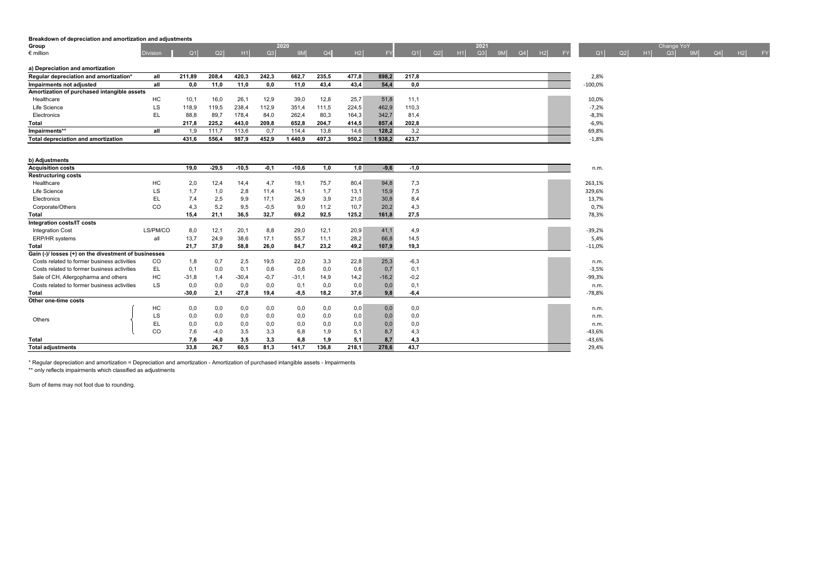| Breakdown of depreciation and amortization and adjustments |                 |         |               |         |        |         |       |       |           |        |    |    |      |    |    |    |           |    |    |            |    |    |    |           |
|------------------------------------------------------------|-----------------|---------|---------------|---------|--------|---------|-------|-------|-----------|--------|----|----|------|----|----|----|-----------|----|----|------------|----|----|----|-----------|
| Group                                                      |                 |         |               |         |        | 2020    |       |       |           |        |    |    | 2021 |    |    |    |           |    |    | Change YoY |    |    |    |           |
| $\epsilon$ million                                         | <b>Division</b> | Q1      | Q2            | H1      | Q3     | 9M      | Q4    | H2    | <b>FY</b> | Q1     | Q2 | H1 | Q3   | 9M | Q4 | H2 | Q1        | Q2 | H1 | Q3         | 9M | Q4 | H2 | <b>EY</b> |
| a) Depreciation and amortization                           |                 |         |               |         |        |         |       |       |           |        |    |    |      |    |    |    |           |    |    |            |    |    |    |           |
| Regular depreciation and amortization*                     | all             | 211,89  | 208,4         | 420,3   | 242,3  | 662,7   | 235,5 | 477,8 | 898,2     | 217,8  |    |    |      |    |    |    | 2,8%      |    |    |            |    |    |    |           |
| Impairments not adjusted                                   | all             | 0,0     | 11,0          | 11,0    | 0,0    | 11,0    | 43,4  | 43,4  | 54,4      | 0,0    |    |    |      |    |    |    | $-100,0%$ |    |    |            |    |    |    |           |
| Amortization of purchased intangible assets                |                 |         |               |         |        |         |       |       |           |        |    |    |      |    |    |    |           |    |    |            |    |    |    |           |
| Healthcare                                                 | НC              | 10,1    | 16,0          | 26,1    | 12,9   | 39,0    | 12,8  | 25,7  | 51,8      | 11,1   |    |    |      |    |    |    | 10,0%     |    |    |            |    |    |    |           |
| Life Science                                               | LS.             | 118,9   | 119,5         | 238,4   | 112,9  | 351,4   | 111,5 | 224,5 | 462,9     | 110,3  |    |    |      |    |    |    | $-7,2%$   |    |    |            |    |    |    |           |
| Electronics                                                | EL              | 88,8    | 89,7          | 178,4   | 84,0   | 262,4   | 80,3  | 164,3 | 342,7     | 81,4   |    |    |      |    |    |    | $-8,3%$   |    |    |            |    |    |    |           |
| <b>Total</b>                                               |                 | 217,8   | 225,2         | 443,0   | 209,8  | 652,8   | 204,7 | 414,5 | 857,4     | 202,8  |    |    |      |    |    |    | $-6,9%$   |    |    |            |    |    |    |           |
| Impairments**                                              | all             | 1,9     | 111,7         | 113,6   | 0,7    | 114,4   | 13,8  | 14,6  | 128,2     | 3,2    |    |    |      |    |    |    | 69,8%     |    |    |            |    |    |    |           |
| <b>Total depreciation and amortization</b>                 |                 | 431,6   | 556,4         | 987,9   | 452,9  | 1440,9  | 497,3 | 950,2 | 1938,2    | 423,7  |    |    |      |    |    |    | $-1,8%$   |    |    |            |    |    |    |           |
|                                                            |                 |         |               |         |        |         |       |       |           |        |    |    |      |    |    |    |           |    |    |            |    |    |    |           |
| b) Adjustments                                             |                 |         |               |         |        |         |       |       |           |        |    |    |      |    |    |    |           |    |    |            |    |    |    |           |
| <b>Acquisition costs</b>                                   |                 | 19,0    | $-29,5$       | $-10,5$ | $-0,1$ | $-10,6$ | 1,0   | 1,0   | $-9,6$    | $-1,0$ |    |    |      |    |    |    | n.m.      |    |    |            |    |    |    |           |
| <b>Restructuring costs</b>                                 |                 |         |               |         |        |         |       |       |           |        |    |    |      |    |    |    |           |    |    |            |    |    |    |           |
| Healthcare                                                 | НC              | 2,0     | 12,4          | 14,4    | 4,7    | 19,1    | 75,7  | 80,4  | 94,8      | 7,3    |    |    |      |    |    |    | 263,1%    |    |    |            |    |    |    |           |
| Life Science                                               | LS              | 1,7     | 1,0           | 2,8     | 11,4   | 14,1    | 1,7   | 13,1  | 15,9      | 7,5    |    |    |      |    |    |    | 329,6%    |    |    |            |    |    |    |           |
| Electronics                                                | EL              | 7,4     | 2,5           | 9,9     | 17,1   | 26,9    | 3,9   | 21,0  | 30,8      | 8,4    |    |    |      |    |    |    | 13,7%     |    |    |            |    |    |    |           |
| Corporate/Others                                           | CO              | 4,3     | 5,2           | 9,5     | $-0,5$ | 9,0     | 11,2  | 10,7  | 20,2      | 4,3    |    |    |      |    |    |    | 0,7%      |    |    |            |    |    |    |           |
| <b>Total</b>                                               |                 | 15,4    | 21,1          | 36,5    | 32,7   | 69,2    | 92,5  | 125,2 | 161,8     | 27,5   |    |    |      |    |    |    | 78,3%     |    |    |            |    |    |    |           |
| <b>Integration costs/IT costs</b>                          |                 |         |               |         |        |         |       |       |           |        |    |    |      |    |    |    |           |    |    |            |    |    |    |           |
| <b>Integration Cost</b>                                    | LS/PM/CO        | 8,0     | 12,1          | 20,1    | 8,8    | 29,0    | 12,1  | 20,9  | 41,1      | 4,9    |    |    |      |    |    |    | $-39,2%$  |    |    |            |    |    |    |           |
| <b>ERP/HR</b> systems                                      | all             | 13,7    | 24,9          | 38,6    | 17,1   | 55,7    | 11,1  | 28,2  | 66,8      | 14,5   |    |    |      |    |    |    | 5,4%      |    |    |            |    |    |    |           |
| <b>Total</b>                                               |                 | 21,7    | 37,0          | 58,8    | 26,0   | 84,7    | 23,2  | 49,2  | 107,9     | 19,3   |    |    |      |    |    |    | $-11,0\%$ |    |    |            |    |    |    |           |
| Gain (-)/ losses (+) on the divestment of businesses       |                 |         |               |         |        |         |       |       |           |        |    |    |      |    |    |    |           |    |    |            |    |    |    |           |
| Costs related to former business activities                | CO              | 1,8     | 0,7           | 2,5     | 19,5   | 22,0    | 3,3   | 22,8  | 25,3      | $-6,3$ |    |    |      |    |    |    | n.m.      |    |    |            |    |    |    |           |
| Costs related to former business activities                | EL              | 0,1     | 0,0           | 0,1     | 0,6    | 0,6     | 0,0   | 0,6   | 0,7       | 0,1    |    |    |      |    |    |    | $-3,5%$   |    |    |            |    |    |    |           |
| Sale of CH, Allergopharma and others                       | HC              | $-31,8$ | $1.4^{\circ}$ | $-30.4$ | $-0,7$ | $-31,1$ | 14,9  | 14,2  | $-16,2$   | $-0.2$ |    |    |      |    |    |    | $-99,3%$  |    |    |            |    |    |    |           |
| Costs related to former business activities                | LS              | 0,0     | 0,0           | 0,0     | 0,0    | 0,1     | 0,0   | 0,0   | 0,0       | 0,1    |    |    |      |    |    |    | n.m.      |    |    |            |    |    |    |           |
| Total                                                      |                 | $-30,0$ | 2,1           | $-27,8$ | 19,4   | $-8,5$  | 18,2  | 37,6  | 9,8       | $-6,4$ |    |    |      |    |    |    | $-78,8%$  |    |    |            |    |    |    |           |
| Other one-time costs                                       |                 |         |               |         |        |         |       |       |           |        |    |    |      |    |    |    |           |    |    |            |    |    |    |           |
|                                                            | HC              | 0,0     | 0,0           | 0,0     | 0,0    | 0,0     | 0,0   | 0,0   | 0,0       | 0,0    |    |    |      |    |    |    | n.m.      |    |    |            |    |    |    |           |
| Others                                                     | LS              | 0,0     | 0,0           | 0,0     | 0,0    | 0,0     | 0,0   | 0,0   | 0,0       | 0,0    |    |    |      |    |    |    | n.m.      |    |    |            |    |    |    |           |
|                                                            | EL              | 0,0     | 0,0           | 0,0     | 0,0    | 0,0     | 0,0   | 0,0   | 0,0       | 0,0    |    |    |      |    |    |    | n.m.      |    |    |            |    |    |    |           |
|                                                            | CO              | 7,6     | $-4,0$        | 3,5     | 3,3    | 6,8     | 1,9   | 5,1   | 8,7       | 4,3    |    |    |      |    |    |    | $-43,6%$  |    |    |            |    |    |    |           |
| <b>Total</b>                                               |                 | 7,6     | $-4,0$        | 3,5     | 3,3    | 6,8     | 1,9   | 5,1   | 8,7       | 4,3    |    |    |      |    |    |    | $-43,6%$  |    |    |            |    |    |    |           |
| <b>Total adjustments</b>                                   |                 | 33,8    | 26,7          | 60,5    | 81,3   | 141,7   | 136,8 | 218,1 | 278,6     | 43,7   |    |    |      |    |    |    | 29,4%     |    |    |            |    |    |    |           |

\* Regular depreciation and amortization = Depreciation and amortization - Amortization of purchased intangible assets - Impairments

\*\* only reflects impairments which classified as adjustments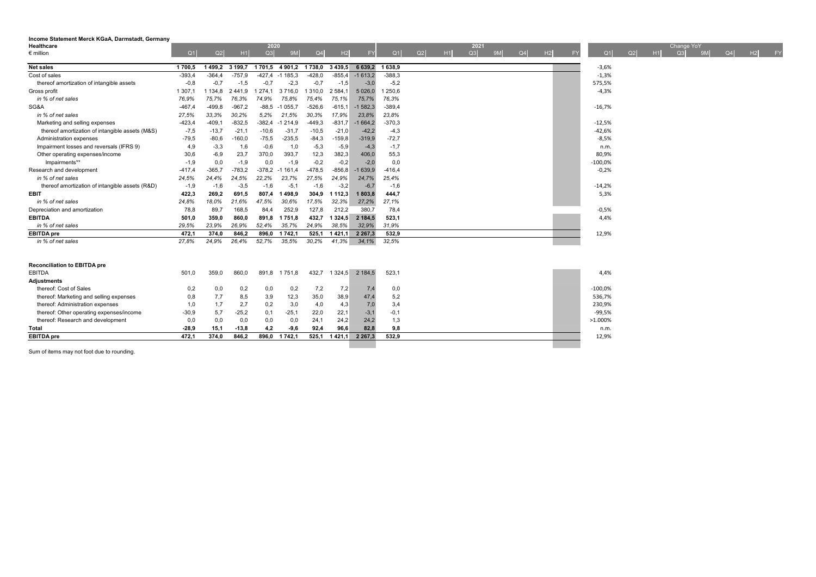| Healthcare                                      |          |          |                 | 2020       |                         |             |             |             |                 |    |    | 2021 |    |    |    |           |                |    |    | Change YoY |                |    |    |      |
|-------------------------------------------------|----------|----------|-----------------|------------|-------------------------|-------------|-------------|-------------|-----------------|----|----|------|----|----|----|-----------|----------------|----|----|------------|----------------|----|----|------|
| $\epsilon$ million                              | Q1       | Q2       | H1              | Q3         | 9M                      | Q4          | H2          | FY          | Q1              | Q2 | H1 | Q3   | 9M | Q4 | H2 | <b>FY</b> | Q <sub>1</sub> | Q2 | H1 | Q3         | 9 <sub>M</sub> | Q4 | H2 | - FY |
|                                                 |          |          |                 |            |                         |             |             |             |                 |    |    |      |    |    |    |           |                |    |    |            |                |    |    |      |
| <b>Net sales</b>                                | 1 700,5  |          | 1 499,2 3 199,7 |            | 1 701,5 4 901,2 1 738,0 |             | 3439,5      |             | 6 639,2 1 638,9 |    |    |      |    |    |    |           | $-3,6%$        |    |    |            |                |    |    |      |
| Cost of sales                                   | $-393,4$ | $-364,4$ | $-757,9$        | $-427,4$   | $-1185,3$               | $-428,0$    | $-855,4$    | $-1613,2$   | $-388,3$        |    |    |      |    |    |    |           | $-1,3%$        |    |    |            |                |    |    |      |
| thereof amortization of intangible assets       | $-0,8$   | $-0,7$   | $-1,5$          | $-0,7$     | $-2,3$                  | $-0,7$      | $-1,5$      | $-3,0$      | $-5,2$          |    |    |      |    |    |    |           | 575,5%         |    |    |            |                |    |    |      |
| Gross profit                                    | 1 307,1  | 134,8    | 2441,9          | 274,1      | 3716,0                  | 1 3 1 0 , 0 | 2 5 8 4 , 1 | 5 0 26,0    | 1 250,6         |    |    |      |    |    |    |           | $-4,3%$        |    |    |            |                |    |    |      |
| in % of net sales                               | 76,9%    | 75,7%    | 76,3%           | 74,9%      | 75,8%                   | 75,4%       | 75,1%       | 75,7%       | 76,3%           |    |    |      |    |    |    |           |                |    |    |            |                |    |    |      |
| SG&A                                            | $-467,4$ | $-499,8$ | $-967,2$        | $-88,5$    | $-1055,7$               | $-526,6$    | $-615,1$    | $-1582,3$   | $-389,4$        |    |    |      |    |    |    |           | $-16,7%$       |    |    |            |                |    |    |      |
| in % of net sales                               | 27,5%    | 33,3%    | 30,2%           | 5,2%       | 21,5%                   | 30,3%       | 17,9%       | 23,8%       | 23,8%           |    |    |      |    |    |    |           |                |    |    |            |                |    |    |      |
| Marketing and selling expenses                  | $-423,4$ | $-409,7$ | $-832,5$        | $-382,4$   | $-1214,9$               | $-449,3$    | $-831,7$    | $-1664,2$   | $-370,3$        |    |    |      |    |    |    |           | $-12,5%$       |    |    |            |                |    |    |      |
| thereof amortization of intangible assets (M&S) | $-7,5$   | $-13,7$  | $-21,1$         | $-10,6$    | $-31,7$                 | $-10,5$     | $-21,0$     | $-42,2$     | $-4,3$          |    |    |      |    |    |    |           | $-42,6%$       |    |    |            |                |    |    |      |
| Administration expenses                         | $-79,5$  | $-80,6$  | $-160,0$        | $-75,5$    | $-235,5$                | $-84,3$     | $-159,8$    | $-319,9$    | $-72,7$         |    |    |      |    |    |    |           | $-8,5%$        |    |    |            |                |    |    |      |
| Impairment losses and reversals (IFRS 9)        | 4,9      | $-3,3$   | 1,6             | $-0,6$     | 1,0                     | $-5,3$      | $-5,9$      | $-4,3$      | $-1,7$          |    |    |      |    |    |    |           | n.m.           |    |    |            |                |    |    |      |
| Other operating expenses/income                 | 30,6     | $-6,9$   | 23,7            | 370,0      | 393,7                   | 12,3        | 382,3       | 406,0       | 55,3            |    |    |      |    |    |    |           | 80,9%          |    |    |            |                |    |    |      |
| Impairments**                                   | $-1,9$   | 0,0      | $-1,9$          | 0,0        | $-1,9$                  | $-0,2$      | $-0,2$      | $-2,0$      | 0,0             |    |    |      |    |    |    |           | $-100,0%$      |    |    |            |                |    |    |      |
| Research and development                        | $-417,4$ | $-365,7$ | $-783,2$        | $-378,2$   | -1 161.4                | $-478,5$    | $-856,8$    | $-1639,9$   | $-416,4$        |    |    |      |    |    |    |           | $-0,2%$        |    |    |            |                |    |    |      |
| in % of net sales                               | 24,5%    | 24,4%    | 24,5%           | 22,2%      | 23,7%                   | 27,5%       | 24,9%       | 24,7%       | 25,4%           |    |    |      |    |    |    |           |                |    |    |            |                |    |    |      |
| thereof amortization of intangible assets (R&D) | -1,9     | $-1,6$   | $-3,5$          | $-1,6$     | $-5,1$                  | $-1,6$      | $-3,2$      | $-6,7$      | $-1,6$          |    |    |      |    |    |    |           | $-14,2%$       |    |    |            |                |    |    |      |
| <b>EBIT</b>                                     | 422,3    | 269,2    | 691,5           | 807,4      | 1498,9                  | 304,9       | 1 112,3     | 1803,8      | 444,7           |    |    |      |    |    |    |           | 5,3%           |    |    |            |                |    |    |      |
| in % of net sales                               | 24,8%    | 18,0%    | 21,6%           | 47,5%      | 30,6%                   | 17,5%       | 32,3%       | 27,2%       | 27,1%           |    |    |      |    |    |    |           |                |    |    |            |                |    |    |      |
| Depreciation and amortization                   | 78,8     | 89,7     | 168,5           | 84,4       | 252,9                   | 127,8       | 212,2       | 380,7       | 78,4            |    |    |      |    |    |    |           | $-0,5%$        |    |    |            |                |    |    |      |
| <b>EBITDA</b>                                   | 501,0    | 359,0    | 860,0           | 891,8      | 1 7 5 1 , 8             | 432,7       | 1 3 2 4 , 5 | 2 184,5     | 523,1           |    |    |      |    |    |    |           | 4,4%           |    |    |            |                |    |    |      |
| in % of net sales                               | 29,5%    | 23,9%    | 26,9%           | 52,4%      | 35,7%                   | 24,9%       | 38,5%       | 32,9%       | 31,9%           |    |    |      |    |    |    |           |                |    |    |            |                |    |    |      |
| <b>EBITDA</b> pre                               | 472,1    | 374,0    | 846,2           | 896,0      | $\overline{1}$ 742,1    | 525,1       | 1 4 2 1 , 1 | 2 2 6 7 , 3 | 532,9           |    |    |      |    |    |    |           | 12,9%          |    |    |            |                |    |    |      |
| in % of net sales                               | 27,8%    | 24,9%    | 26,4%           | 52,7%      | 35,5%                   | 30,2%       | 41,3%       | 34,1%       | 32,5%           |    |    |      |    |    |    |           |                |    |    |            |                |    |    |      |
| <b>Reconciliation to EBITDA pre</b>             |          |          |                 |            |                         |             |             |             |                 |    |    |      |    |    |    |           |                |    |    |            |                |    |    |      |
| <b>EBITDA</b>                                   | 501,0    | 359,0    | 860,0           | 891,8      | 1 751,8                 | 432,7       | 1324,5      | 2 184,5     | 523,1           |    |    |      |    |    |    |           | 4,4%           |    |    |            |                |    |    |      |
| <b>Adjustments</b>                              |          |          |                 |            |                         |             |             |             |                 |    |    |      |    |    |    |           |                |    |    |            |                |    |    |      |
| thereof: Cost of Sales                          | 0,2      | 0,0      | 0,2             | 0,0        | 0,2                     | 7,2         | 7,2         | 7,4         | 0,0             |    |    |      |    |    |    |           | $-100,0%$      |    |    |            |                |    |    |      |
| thereof: Marketing and selling expenses         | 0,8      | 7,7      | 8,5             | 3,9        | 12,3                    | 35,0        | 38,9        | 47,4        | 5,2             |    |    |      |    |    |    |           | 536,7%         |    |    |            |                |    |    |      |
| thereof: Administration expenses                |          | 1,7      | 2,7             | 0,2        | 3,0                     | 4,0         | 4,3         | 7,0         | 3,4             |    |    |      |    |    |    |           | 230,9%         |    |    |            |                |    |    |      |
| thereof: Other operating expenses/income        | $-30,9$  | 5,7      | $-25,2$         | 0,1        | $-25,1$                 | 22,0        | 22,1        | $-3,1$      | $-0,1$          |    |    |      |    |    |    |           | -99,5%         |    |    |            |                |    |    |      |
| thereof: Research and development               | 0,0      | 0,0      | 0,0             |            |                         | 24,1        | 24,2        | 24,2        | 1,3             |    |    |      |    |    |    |           | >1.000%        |    |    |            |                |    |    |      |
| <b>Total</b>                                    | $-28,9$  | 15,1     | $-13,8$         | 0,0<br>4,2 | 0,0<br>$-9,6$           | 92,4        | 96,6        | 82,8        | 9,8             |    |    |      |    |    |    |           | n.m.           |    |    |            |                |    |    |      |
| <b>EBITDA</b> pre                               | 472,1    | 374,0    | 846,2           |            | 896,0 1 742,1           | 525,1       | 1421,1      | 2 2 6 7 , 3 | 532,9           |    |    |      |    |    |    |           | 12,9%          |    |    |            |                |    |    |      |
|                                                 |          |          |                 |            |                         |             |             |             |                 |    |    |      |    |    |    |           |                |    |    |            |                |    |    |      |
|                                                 |          |          |                 |            |                         |             |             |             |                 |    |    |      |    |    |    |           |                |    |    |            |                |    |    |      |

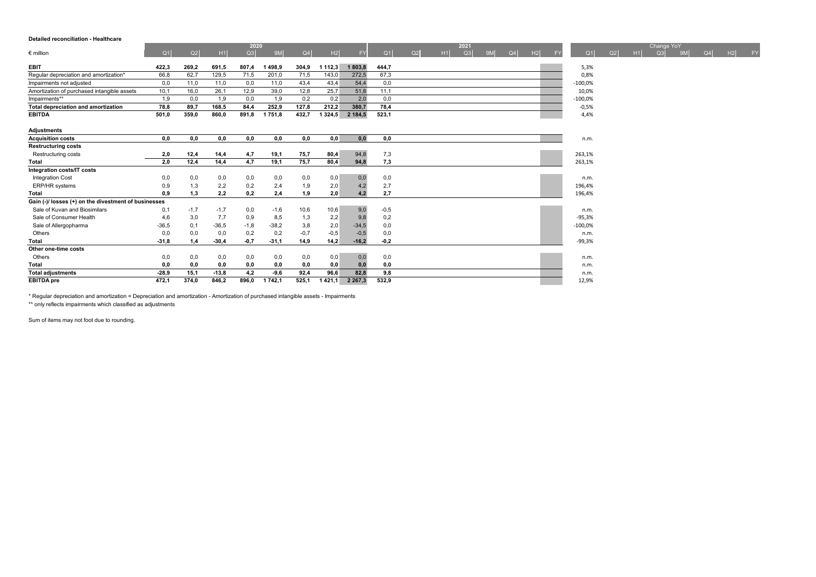# **Detailed reconciliation - Healthcare**

|                                                      |         |        |         | 2020   |             |        |        |             |        |    |    | 2021 |    |    |                 |           |    |    | <b>Change YoY</b> |    |    |    |           |
|------------------------------------------------------|---------|--------|---------|--------|-------------|--------|--------|-------------|--------|----|----|------|----|----|-----------------|-----------|----|----|-------------------|----|----|----|-----------|
| $\epsilon$ million                                   | Q1      | Q2     | H1      | Q3     | 9M          | Q4     | H2     | <b>FY</b>   | Q1     | Q2 | H1 | Q3   | 9M | Q4 | H2<br><b>FY</b> | Q1        | Q2 | H1 | Q3                | 9M | Q4 | H2 | <b>FY</b> |
| <b>EBIT</b>                                          | 422,3   | 269,2  | 691,5   | 807,4  | 1498,9      | 304,9  | 1112,3 | 1803,8      | 444,7  |    |    |      |    |    |                 | 5,3%      |    |    |                   |    |    |    |           |
| Regular depreciation and amortization*               | 66,8    | 62,7   | 129,5   | 71,5   | 201,0       | 71,5   | 143,0  | 272,5       | 67,3   |    |    |      |    |    |                 | 0,8%      |    |    |                   |    |    |    |           |
| Impairments not adjusted                             | 0,0     | 11,0   | 11,0    | 0,0    | 11,0        | 43,4   | 43,4   | 54,4        | 0,0    |    |    |      |    |    |                 | $-100,0%$ |    |    |                   |    |    |    |           |
| Amortization of purchased intangible assets          | 10,1    | 16,0   | 26,1    | 12,9   | 39,0        | 12,8   | 25,7   | 51,8        | 11,1   |    |    |      |    |    |                 | 10,0%     |    |    |                   |    |    |    |           |
| Impairments**                                        | 1,9     | 0,0    | 1,9     | 0,0    | 1,9         | 0,2    | 0,2    | 2,0         | 0,0    |    |    |      |    |    |                 | $-100,0%$ |    |    |                   |    |    |    |           |
| <b>Total depreciation and amortization</b>           | 78,8    | 89,7   | 168,5   | 84,4   | 252,9       | 127,8  | 212,2  | 380,7       | 78,4   |    |    |      |    |    |                 | $-0,5%$   |    |    |                   |    |    |    |           |
| <b>EBITDA</b>                                        | 501,0   | 359,0  | 860,0   | 891,8  | 1 7 5 1 , 8 | 432,7  | 1324,5 | 2 184,5     | 523,1  |    |    |      |    |    |                 | 4,4%      |    |    |                   |    |    |    |           |
| <b>Adjustments</b>                                   |         |        |         |        |             |        |        |             |        |    |    |      |    |    |                 |           |    |    |                   |    |    |    |           |
| <b>Acquisition costs</b>                             | 0, 0    | 0,0    | 0,0     | 0,0    | 0,0         | 0,0    | 0,0    | 0,0         | 0,0    |    |    |      |    |    |                 | n.m.      |    |    |                   |    |    |    |           |
| <b>Restructuring costs</b>                           |         |        |         |        |             |        |        |             |        |    |    |      |    |    |                 |           |    |    |                   |    |    |    |           |
| Restructuring costs                                  | 2,0     | 12,4   | 14,4    | 4,7    | 19,1        | 75,7   | 80,4   | 94,8        | 7,3    |    |    |      |    |    |                 | 263,1%    |    |    |                   |    |    |    |           |
| <b>Total</b>                                         | 2,0     | 12,4   | 14,4    | 4,7    | 19,1        | 75,7   | 80,4   | 94,8        | 7,3    |    |    |      |    |    |                 | 263,1%    |    |    |                   |    |    |    |           |
| <b>Integration costs/IT costs</b>                    |         |        |         |        |             |        |        |             |        |    |    |      |    |    |                 |           |    |    |                   |    |    |    |           |
| <b>Integration Cost</b>                              | 0,0     | 0,0    | 0,0     | 0,0    | 0,0         | 0,0    | 0,0    | 0,0         | 0,0    |    |    |      |    |    |                 | n.m.      |    |    |                   |    |    |    |           |
| <b>ERP/HR</b> systems                                | 0,9     | 1,3    | 2,2     | 0,2    | 2,4         | 1,9    | 2,0    | 4,2         | 2,7    |    |    |      |    |    |                 | 196,4%    |    |    |                   |    |    |    |           |
| <b>Total</b>                                         | 0,9     | 1,3    | 2,2     | 0,2    | 2,4         | 1,9    | 2,0    | 4,2         | 2,7    |    |    |      |    |    |                 | 196,4%    |    |    |                   |    |    |    |           |
| Gain (-)/ losses (+) on the divestment of businesses |         |        |         |        |             |        |        |             |        |    |    |      |    |    |                 |           |    |    |                   |    |    |    |           |
| Sale of Kuvan and Biosimilars                        | 0,1     | $-1,7$ | $-1,7$  | 0,0    | $-1,6$      | 10,6   | 10,6   | 9,0         | $-0,5$ |    |    |      |    |    |                 | n.m.      |    |    |                   |    |    |    |           |
| Sale of Consumer Health                              | 4,6     | 3,0    | 7,7     | 0,9    | 8,5         | 1,3    | 2,2    | 9,8         | 0,2    |    |    |      |    |    |                 | $-95,3%$  |    |    |                   |    |    |    |           |
| Sale of Allergopharma                                | $-36,5$ | 0,1    | $-36,5$ | $-1,8$ | $-38,2$     | 3,8    | 2,0    | $-34,5$     | 0,0    |    |    |      |    |    |                 | $-100,0%$ |    |    |                   |    |    |    |           |
| Others                                               | 0,0     | 0,0    | 0,0     | 0,2    | 0,2         | $-0,7$ | $-0,5$ | $-0,5$      | 0,0    |    |    |      |    |    |                 | n.m.      |    |    |                   |    |    |    |           |
| <b>Total</b>                                         | $-31,8$ | 1,4    | $-30,4$ | $-0,7$ | $-31,1$     | 14,9   | 14,2   | $-16,2$     | $-0,2$ |    |    |      |    |    |                 | $-99,3%$  |    |    |                   |    |    |    |           |
| Other one-time costs                                 |         |        |         |        |             |        |        |             |        |    |    |      |    |    |                 |           |    |    |                   |    |    |    |           |
| Others                                               | 0,0     | 0,0    | 0,0     | 0,0    | 0,0         | 0,0    | 0,0    | 0,0         | 0,0    |    |    |      |    |    |                 | n.m.      |    |    |                   |    |    |    |           |
| <b>Total</b>                                         | 0,0     | 0,0    | 0,0     | 0,0    | 0,0         | 0,0    | 0,0    | 0,0         | 0,0    |    |    |      |    |    |                 | n.m.      |    |    |                   |    |    |    |           |
| <b>Total adjustments</b>                             | $-28,9$ | 15,1   | $-13,8$ | 4,2    | $-9,6$      | 92,4   | 96,6   | 82,8        | 9,8    |    |    |      |    |    |                 | n.m.      |    |    |                   |    |    |    |           |
| <b>EBITDA</b> pre                                    | 472,1   | 374,0  | 846,2   | 896,0  | 1 742,1     | 525,1  | 1421,1 | 2 2 6 7 , 3 | 532,9  |    |    |      |    |    |                 | 12,9%     |    |    |                   |    |    |    |           |
|                                                      |         |        |         |        |             |        |        |             |        |    |    |      |    |    |                 |           |    |    |                   |    |    |    |           |

\* Regular depreciation and amortization = Depreciation and amortization - Amortization of purchased intangible assets - Impairments

\*\* only reflects impairments which classified as adjustments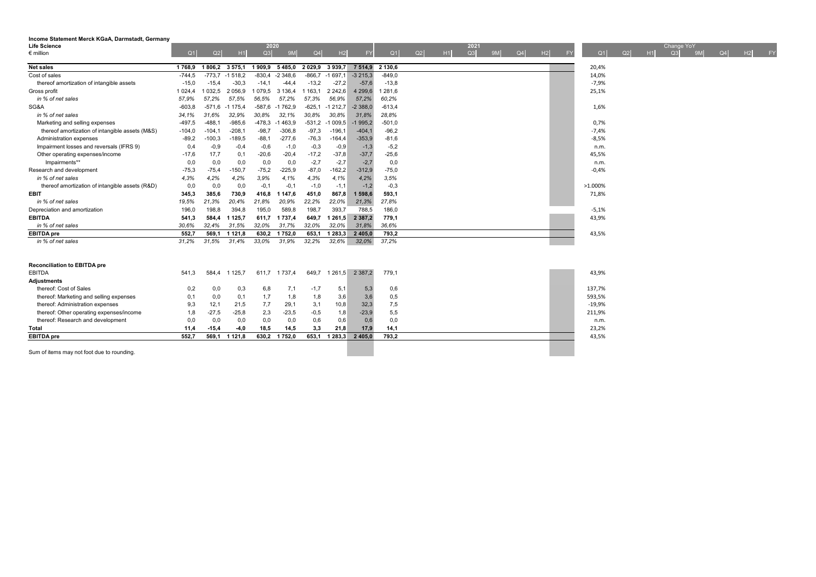| <b>Life Science</b>                             |          |          |                 | 2020     |                        |          |                   |                 |             |    |    | 2021 |    |    |    |     |            |    |    | Change YoY |    |    |    |      |
|-------------------------------------------------|----------|----------|-----------------|----------|------------------------|----------|-------------------|-----------------|-------------|----|----|------|----|----|----|-----|------------|----|----|------------|----|----|----|------|
| $\epsilon$ million                              | Q1       | Q2       | H1              | Q3       | 9M                     | Q4       | H2                | FY              | Q1          | Q2 | H1 | Q3   | 9M | Q4 | H2 | FY. | Q1         | Q2 | H1 | Q3         | 9M | Q4 | H2 | - FY |
| <b>Net sales</b>                                | 1768,9   |          | 1 806,2 3 575,1 | 1909,9   | $5485,0$ 2029,9 3939,7 |          |                   | 7 514,9 2 130,6 |             |    |    |      |    |    |    |     | 20,4%      |    |    |            |    |    |    |      |
| Cost of sales                                   | $-744,5$ | $-773,7$ | $-1518,2$       | $-830,4$ | $-2348,6$              | $-866,7$ | $-1697,1$         | $-3215,3$       | $-849,0$    |    |    |      |    |    |    |     | 14,0%      |    |    |            |    |    |    |      |
| thereof amortization of intangible assets       | $-15,0$  | $-15,4$  | $-30,3$         | $-14,1$  | $-44,4$                | $-13,2$  | $-27,2$           | $-57,6$         | $-13,8$     |    |    |      |    |    |    |     | $-7,9%$    |    |    |            |    |    |    |      |
| Gross profit                                    | 1 0 24,4 | 032,5    | 2 0 5 6,9       | 1079,5   | 3 136,4                | 163,1    | 2 2 4 2 , 6       | 4 2 9 9,6       | 1 2 8 1 , 6 |    |    |      |    |    |    |     | 25,1%      |    |    |            |    |    |    |      |
| in % of net sales                               | 57,9%    | 57,2%    | 57,5%           | 56,5%    | 57,2%                  | 57,3%    | 56,9%             | 57,2%           | 60,2%       |    |    |      |    |    |    |     |            |    |    |            |    |    |    |      |
| SG&A                                            | $-603,8$ | $-571,6$ | $-1175,4$       |          | $-587,6$ -1762,9       | $-625,1$ | $-1212,7$         | $-2388,0$       | $-613,4$    |    |    |      |    |    |    |     | 1,6%       |    |    |            |    |    |    |      |
| in % of net sales                               | 34,1%    | 31,6%    | 32,9%           | 30,8%    | 32,1%                  | 30,8%    | 30,8%             | 31,8%           | 28,8%       |    |    |      |    |    |    |     |            |    |    |            |    |    |    |      |
| Marketing and selling expenses                  | $-497,5$ | $-488,1$ | $-985,6$        | $-478,3$ | $-1463,9$              |          | $-531,2$ -1 009,5 | $-1995,2$       | $-501,0$    |    |    |      |    |    |    |     | 0,7%       |    |    |            |    |    |    |      |
| thereof amortization of intangible assets (M&S) | $-104,0$ | $-104,1$ | $-208,1$        | $-98,7$  | $-306,8$               | $-97,3$  | $-196,1$          | $-404,1$        | $-96,2$     |    |    |      |    |    |    |     | $-7,4%$    |    |    |            |    |    |    |      |
| Administration expenses                         | $-89,2$  | $-100,3$ | $-189,5$        | $-88,1$  | $-277,6$               | $-76,3$  | $-164,4$          | $-353,9$        | $-81,6$     |    |    |      |    |    |    |     | $-8,5%$    |    |    |            |    |    |    |      |
| Impairment losses and reversals (IFRS 9)        | 0,4      | $-0,9$   | $-0,4$          | $-0,6$   | $-1,0$                 | $-0,3$   | $-0,9$            | $-1,3$          | $-5,2$      |    |    |      |    |    |    |     | n.m.       |    |    |            |    |    |    |      |
| Other operating expenses/income                 | $-17,6$  | 17,7     | 0,1             | $-20,6$  | $-20,4$                | $-17,2$  | $-37,8$           | $-37,7$         | $-25,6$     |    |    |      |    |    |    |     | 45,5%      |    |    |            |    |    |    |      |
| Impairments**                                   | 0,0      | 0,0      | 0,0             | 0,0      | 0,0                    | $-2,7$   | $-2,7$            | $-2,7$          | 0,0         |    |    |      |    |    |    |     | n.m.       |    |    |            |    |    |    |      |
| Research and development                        | $-75,3$  | $-75,4$  | $-150,7$        | $-75,2$  | $-225,9$               | $-87,0$  | $-162,2$          | $-312,9$        | $-75,0$     |    |    |      |    |    |    |     | $-0,4%$    |    |    |            |    |    |    |      |
| in % of net sales                               | 4,3%     | 4,2%     | 4,2%            | 3,9%     | 4,1%                   | 4,3%     | 4,1%              | 4,2%            | 3,5%        |    |    |      |    |    |    |     |            |    |    |            |    |    |    |      |
| thereof amortization of intangible assets (R&D) | 0,0      | 0,0      | 0,0             | $-0,1$   | $-0,$                  | $-1,0$   | $-1,1$            | $-1,2$          | $-0,3$      |    |    |      |    |    |    |     | $>1.000\%$ |    |    |            |    |    |    |      |
| <b>EBIT</b>                                     | 345,3    | 385,6    | 730,9           | 416,8    | 1 147,6                | 451,0    | 867,8             | 1 598,6         | 593,1       |    |    |      |    |    |    |     | 71,8%      |    |    |            |    |    |    |      |
| in % of net sales                               | 19,5%    | 21,3%    | 20,4%           | 21,8%    | 20,9%                  | 22,2%    | 22,0%             | 21,3%           | 27,8%       |    |    |      |    |    |    |     |            |    |    |            |    |    |    |      |
| Depreciation and amortization                   | 196,0    | 198,8    | 394,8           | 195,0    | 589,8                  | 198,7    | 393,7             | 788,5           | 186,0       |    |    |      |    |    |    |     | $-5,1%$    |    |    |            |    |    |    |      |
| <b>EBITDA</b>                                   | 541,3    | 584,4    | 1 1 2 5 , 7     | 611,7    | 1 7 3 7 , 4            | 649,7    | 1261,5            | 2 3 8 7 , 2     | 779,1       |    |    |      |    |    |    |     | 43,9%      |    |    |            |    |    |    |      |
| in % of net sales                               | 30,6%    | 32,4%    | 31,5%           | 32,0%    | 31,7%                  | 32,0%    | 32,0%             | 31,8%           | 36,6%       |    |    |      |    |    |    |     |            |    |    |            |    |    |    |      |
| <b>EBITDA</b> pre                               | 552,7    | 569,1    | 1 1 2 1 , 8     | 630,2    | 1 7 5 2,0              | 653,1    | 1283,3            | 2 4 0 5 , 0     | 793,2       |    |    |      |    |    |    |     | 43,5%      |    |    |            |    |    |    |      |
| in % of net sales                               | 31,2%    | 31,5%    | 31,4%           | 33,0%    | 31,9%                  | 32,2%    | 32,6%             | 32,0%           | 37,2%       |    |    |      |    |    |    |     |            |    |    |            |    |    |    |      |
| <b>Reconciliation to EBITDA pre</b>             |          |          |                 |          |                        |          |                   |                 |             |    |    |      |    |    |    |     |            |    |    |            |    |    |    |      |
| <b>EBITDA</b>                                   | 541,3    | 584,4    | 1 1 2 5 , 7     | 611,7    | 1 7 3 7,4              | 649,7    | 1261,5            | 2 3 8 7, 2      | 779,1       |    |    |      |    |    |    |     | 43,9%      |    |    |            |    |    |    |      |
| <b>Adjustments</b>                              |          |          |                 |          |                        |          |                   |                 |             |    |    |      |    |    |    |     |            |    |    |            |    |    |    |      |
| thereof: Cost of Sales                          | 0,2      | 0,0      | 0,3             | 6,8      | 7,1                    | $-1,7$   | 5,1               | 5,3             | 0,6         |    |    |      |    |    |    |     | 137,7%     |    |    |            |    |    |    |      |
| thereof: Marketing and selling expenses         | 0,1      | 0,0      | 0,1             |          | 1,8                    | 1,8      | 3,6               | 3,6             | 0,5         |    |    |      |    |    |    |     | 593,5%     |    |    |            |    |    |    |      |
| thereof: Administration expenses                | 9,3      | 12,1     | 21,5            | 7,7      | 29,1                   | 3,1      | 10,8              | 32,3            | 7,5         |    |    |      |    |    |    |     | $-19,9%$   |    |    |            |    |    |    |      |
| thereof: Other operating expenses/income        | 1,8      | $-27,5$  | $-25,8$         | 2,3      | $-23,5$                | $-0,5$   | 1,8               | $-23,9$         | $5,5$       |    |    |      |    |    |    |     | 211,9%     |    |    |            |    |    |    |      |
| thereof: Research and development               | 0,0      | 0,0      | 0,0             | 0,0      | 0,0                    | 0,6      | 0,6               | 0,6             | 0,0         |    |    |      |    |    |    |     | n.m.       |    |    |            |    |    |    |      |
| <b>Total</b>                                    | 11,4     | $-15,4$  | $-4,0$          | 18,5     | 14,5                   | 3,3      | 21,8              | 17,9            | 14,1        |    |    |      |    |    |    |     | 23,2%      |    |    |            |    |    |    |      |
| <b>EBITDA</b> pre                               | 552,7    | 569,1    | 1 121,8         |          | 630,2 1752,0           | 653,1    | 1283,3            | 2 4 0 5 , 0     | 793,2       |    |    |      |    |    |    |     | 43,5%      |    |    |            |    |    |    |      |
| Sum of items may not foot due to rounding.      |          |          |                 |          |                        |          |                   |                 |             |    |    |      |    |    |    |     |            |    |    |            |    |    |    |      |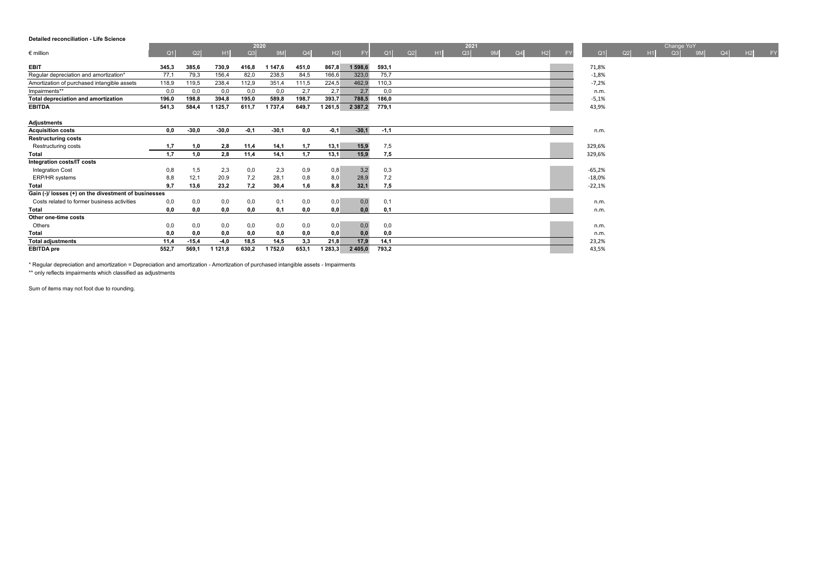## **Detailed reconciliation - Life Science**

|                                                      |                |         |            | 2020   |           |                |         |             |                |    |    | 2021 |    |    |    |           |          |    |    | Change YoY |    |    |    |           |
|------------------------------------------------------|----------------|---------|------------|--------|-----------|----------------|---------|-------------|----------------|----|----|------|----|----|----|-----------|----------|----|----|------------|----|----|----|-----------|
| $\epsilon$ million                                   | Q1             | Q2      | H1         | Q3     | <b>9M</b> | Q4             | H2      | FY          | Q <sub>1</sub> | Q2 | H1 | Q3   | 9M | Q4 | H2 | <b>FY</b> | Q1       | Q2 | H1 | $\sim$ Q3  | 9M | Q4 | H2 | <b>FY</b> |
| <b>EBIT</b>                                          | 345,3          | 385,6   | 730,9      | 416,8  | 1 147,6   | 451,0          | 867,8   | 1 598,6     | 593,1          |    |    |      |    |    |    |           | 71,8%    |    |    |            |    |    |    |           |
| Regular depreciation and amortization*               | 77,1           | 79,3    | 156,4      | 82,0   | 238,5     | 84,5           | 166,6   | 323,0       | 75,7           |    |    |      |    |    |    |           | $-1,8%$  |    |    |            |    |    |    |           |
| Amortization of purchased intangible assets          | 118,9          | 119,5   | 238,4      | 112,9  | 351,4     | 111,5          | 224,5   | 462,9       | 110,3          |    |    |      |    |    |    |           | $-7,2%$  |    |    |            |    |    |    |           |
| Impairments**                                        | 0,0            | 0,0     | 0,0        | 0,0    | 0,0       | 2,7            | 2,7     | 2,7         | 0,0            |    |    |      |    |    |    |           | n.m.     |    |    |            |    |    |    |           |
| <b>Total depreciation and amortization</b>           | 196,0          | 198,8   | 394,8      | 195,0  | 589,8     | 198,7          | 393,7   | 788,5       | 186,0          |    |    |      |    |    |    |           | $-5,1%$  |    |    |            |    |    |    |           |
| <b>EBITDA</b>                                        | 541,3          | 584,4   | 1 1 2 5, 7 | 611,7  | 1 7 3 7,4 | 649,7          | 1261,5  | 2 3 8 7, 2  | 779,1          |    |    |      |    |    |    |           | 43,9%    |    |    |            |    |    |    |           |
| <b>Adjustments</b>                                   |                |         |            |        |           |                |         |             |                |    |    |      |    |    |    |           |          |    |    |            |    |    |    |           |
| <b>Acquisition costs</b>                             | $\mathbf{0,0}$ | $-30,0$ | $-30,0$    | $-0,1$ | $-30,1$   | $\mathbf{0,0}$ | $-0,1$  | $-30,1$     | $-1,1$         |    |    |      |    |    |    |           | n.m.     |    |    |            |    |    |    |           |
| <b>Restructuring costs</b>                           |                |         |            |        |           |                |         |             |                |    |    |      |    |    |    |           |          |    |    |            |    |    |    |           |
| Restructuring costs                                  | 1,7            | 1,0     | 2,8        | 11,4   | 14,1      | 1,7            | 13,1    | 15,9        | 7,5            |    |    |      |    |    |    |           | 329,6%   |    |    |            |    |    |    |           |
| <b>Total</b>                                         | 1,7            | 1,0     | 2,8        | 11,4   | 14,1      | 1,7            | 13,1    | 15,9        | 7,5            |    |    |      |    |    |    |           | 329,6%   |    |    |            |    |    |    |           |
| <b>Integration costs/IT costs</b>                    |                |         |            |        |           |                |         |             |                |    |    |      |    |    |    |           |          |    |    |            |    |    |    |           |
| <b>Integration Cost</b>                              | 0,8            | 1,5     | 2,3        | 0,0    | 2,3       | 0,9            | 0,8     | 3,2         | 0,3            |    |    |      |    |    |    |           | $-65,2%$ |    |    |            |    |    |    |           |
| ERP/HR systems                                       | 8,8            | 12,1    | 20,9       | 7,2    | 28,1      | 0,8            | 8,0     | 28,9        | 7,2            |    |    |      |    |    |    |           | $-18,0%$ |    |    |            |    |    |    |           |
| <b>Total</b>                                         | 9,7            | 13,6    | 23,2       | 7,2    | 30,4      | 1,6            | 8,8     | 32,1        | 7,5            |    |    |      |    |    |    |           | $-22,1%$ |    |    |            |    |    |    |           |
| Gain (-)/ losses (+) on the divestment of businesses |                |         |            |        |           |                |         |             |                |    |    |      |    |    |    |           |          |    |    |            |    |    |    |           |
| Costs related to former business activities          | 0,0            | 0,0     | 0,0        | 0,0    | 0,1       | 0,0            | 0,0     | 0,0         | 0,1            |    |    |      |    |    |    |           | n.m.     |    |    |            |    |    |    |           |
| <b>Total</b>                                         | 0,0            | 0,0     | 0,0        | 0,0    | 0,1       | 0,0            | 0,0     | 0,0         | 0,1            |    |    |      |    |    |    |           | n.m.     |    |    |            |    |    |    |           |
| Other one-time costs                                 |                |         |            |        |           |                |         |             |                |    |    |      |    |    |    |           |          |    |    |            |    |    |    |           |
| Others                                               | 0,0            | 0,0     | 0,0        | 0,0    | 0,0       | 0,0            | 0,0     | 0,0         | 0,0            |    |    |      |    |    |    |           | n.m.     |    |    |            |    |    |    |           |
| <b>Total</b>                                         | 0,0            | 0,0     | 0,0        | 0,0    | 0, 0      | 0,0            | 0,0     | 0,0         | 0,0            |    |    |      |    |    |    |           | n.m.     |    |    |            |    |    |    |           |
| <b>Total adjustments</b>                             | 11,4           | $-15,4$ | $-4,0$     | 18,5   | 14,5      | 3,3            | 21,8    | 17,9        | 14,1           |    |    |      |    |    |    |           | 23,2%    |    |    |            |    |    |    |           |
| <b>EBITDA</b> pre                                    | 552,7          | 569,1   | 121,8      | 630,2  | 1752,0    | 653,1          | 1 283,3 | 2 4 0 5 , 0 | 793,2          |    |    |      |    |    |    |           | 43,5%    |    |    |            |    |    |    |           |

\* Regular depreciation and amortization = Depreciation and amortization - Amortization of purchased intangible assets - Impairments

\*\* only reflects impairments which classified as adjustments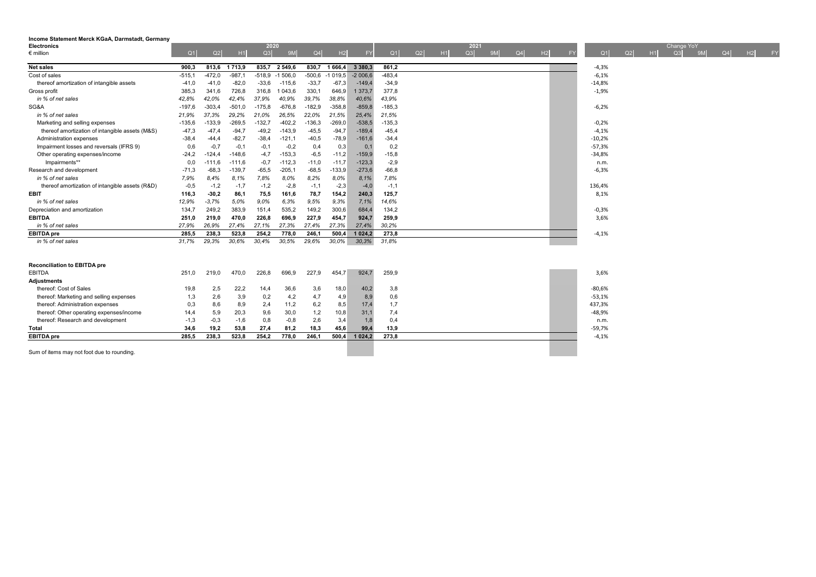| <b>Electronics</b>                              |          |          |             | 2020     |               |          |           |             |          |    |    | 2021 |    |    |    |    |          |    |    | Change YoY |    |    |    |      |
|-------------------------------------------------|----------|----------|-------------|----------|---------------|----------|-----------|-------------|----------|----|----|------|----|----|----|----|----------|----|----|------------|----|----|----|------|
| $\epsilon$ million                              | Q1       | Q2       | H1          | Q3       | 9M            | Q4       | H2        | FY          | Q1       | Q2 | H1 | Q3   | 9M | Q4 | H2 | FY | Q1       | Q2 | H1 | Q3         | 9M | Q4 | H2 | - FY |
|                                                 |          |          |             |          |               |          |           |             |          |    |    |      |    |    |    |    |          |    |    |            |    |    |    |      |
| <b>Net sales</b>                                | 900,3    | 813,6    | 1 7 1 3 , 9 |          | 835,7 2 549,6 | 830,7    | 1666,4    | 3 3 8 0 , 3 | 861,2    |    |    |      |    |    |    |    | $-4,3%$  |    |    |            |    |    |    |      |
| Cost of sales                                   | $-515,1$ | $-472,0$ | $-987,1$    | $-518,9$ | $-1506,0$     | $-500,6$ | $-1019,5$ | $-2006,6$   | $-483,4$ |    |    |      |    |    |    |    | $-6,1%$  |    |    |            |    |    |    |      |
| thereof amortization of intangible assets       | -41.     | $-41,0$  | $-82,0$     | $-33,6$  | $-115,6$      | $-33,7$  | $-67,3$   | $-149,4$    | $-34,9$  |    |    |      |    |    |    |    | $-14,8%$ |    |    |            |    |    |    |      |
| Gross profit                                    | 385,3    | 341,6    | 726,8       | 316,8    | 1 043,6       | 330,1    | 646,9     | 1 373,7     | 377,8    |    |    |      |    |    |    |    | $-1,9\%$ |    |    |            |    |    |    |      |
| in % of net sales                               | 42,8%    | 42,0%    | 42,4%       | 37,9%    | 40,9%         | 39,7%    | 38,8%     | 40,6%       | 43,9%    |    |    |      |    |    |    |    |          |    |    |            |    |    |    |      |
| SG&A                                            | $-197,6$ | $-303,4$ | $-501,0$    | $-175,8$ | $-676,8$      | $-182,9$ | $-358,8$  | $-859,8$    | $-185,3$ |    |    |      |    |    |    |    | $-6,2%$  |    |    |            |    |    |    |      |
| in % of net sales                               | 21,9%    | 37,3%    | 29,2%       | 21,0%    | 26,5%         | 22,0%    | 21,5%     | 25,4%       | 21,5%    |    |    |      |    |    |    |    |          |    |    |            |    |    |    |      |
| Marketing and selling expenses                  | $-135,6$ | $-133,9$ | $-269,5$    | $-132,7$ | $-402,2$      | $-136,3$ | $-269,0$  | $-538,5$    | $-135,3$ |    |    |      |    |    |    |    | $-0,2%$  |    |    |            |    |    |    |      |
| thereof amortization of intangible assets (M&S) | $-47,3$  | $-47,4$  | $-94,7$     | $-49,2$  | $-143,9$      | $-45,5$  | $-94,7$   | $-189,4$    | $-45,4$  |    |    |      |    |    |    |    | $-4,1%$  |    |    |            |    |    |    |      |
| Administration expenses                         | $-38,4$  | $-44,4$  | $-82,7$     | $-38,4$  | $-121,1$      | $-40,5$  | $-78,9$   | $-161,6$    | $-34,4$  |    |    |      |    |    |    |    | $-10,2%$ |    |    |            |    |    |    |      |
| Impairment losses and reversals (IFRS 9)        | 0,6      | $-0,7$   | $-0,1$      | $-0,1$   | $-0,2$        | 0,4      | 0,3       | 0,1         | 0,2      |    |    |      |    |    |    |    | $-57,3%$ |    |    |            |    |    |    |      |
| Other operating expenses/income                 | $-24,2$  | $-124,4$ | $-148,6$    | $-4,7$   | $-153,3$      | $-6,5$   | $-11,2$   | $-159,9$    | $-15,8$  |    |    |      |    |    |    |    | $-34,8%$ |    |    |            |    |    |    |      |
| Impairments**                                   | 0,0      | $-111,6$ | $-111,6$    | $-0,7$   | $-112,3$      | $-11,0$  | $-11,7$   | $-123,3$    | $-2,9$   |    |    |      |    |    |    |    | n.m.     |    |    |            |    |    |    |      |
| Research and development                        | $-71,3$  | $-68,3$  | $-139,7$    | $-65,5$  | $-205,1$      | $-68,5$  | $-133,9$  | $-273,6$    | $-66,8$  |    |    |      |    |    |    |    | $-6,3%$  |    |    |            |    |    |    |      |
| in % of net sales                               | 7,9%     | 8,4%     | 8,1%        | 7,8%     | 8,0%          | 8,2%     | 8,0%      | 8,1%        | 7,8%     |    |    |      |    |    |    |    |          |    |    |            |    |    |    |      |
| thereof amortization of intangible assets (R&D) | $-0,5$   | $-1,2$   | $-1,7$      | $-1,2$   | $-2,8$        | $-1,1$   | $-2,3$    | $-4,0$      | $-1,1$   |    |    |      |    |    |    |    | 136,4%   |    |    |            |    |    |    |      |
| <b>EBIT</b>                                     | 116,3    | $-30,2$  | 86,1        | 75,5     | 161,6         | 78,7     | 154,2     | 240,3       | 125,7    |    |    |      |    |    |    |    | 8,1%     |    |    |            |    |    |    |      |
| in % of net sales                               | 12,9%    | $-3,7%$  | 5,0%        | 9,0%     | 6,3%          | 9,5%     | 9,3%      | 7,1%        | 14,6%    |    |    |      |    |    |    |    |          |    |    |            |    |    |    |      |
| Depreciation and amortization                   | 134,7    | 249,2    | 383,9       | 151,4    | 535,2         | 149,2    | 300,6     | 684,4       | 134,2    |    |    |      |    |    |    |    | $-0,3%$  |    |    |            |    |    |    |      |
| <b>EBITDA</b>                                   | 251,0    | 219,0    | 470,0       | 226,8    | 696,9         | 227,9    | 454,7     | 924,7       | 259,9    |    |    |      |    |    |    |    | 3,6%     |    |    |            |    |    |    |      |
| in % of net sales                               | 27,9%    | 26,9%    | 27,4%       | 27,1%    | 27,3%         | 27,4%    | 27,3%     | 27,4%       | 30,2%    |    |    |      |    |    |    |    |          |    |    |            |    |    |    |      |
| <b>EBITDA</b> pre                               | 285,5    | 238,3    | 523,8       | 254,2    | 778,0         | 246,1    | 500,4     | 1 0 24, 2   | 273,8    |    |    |      |    |    |    |    | $-4,1%$  |    |    |            |    |    |    |      |
| in % of net sales                               | 31,7%    | 29,3%    | 30,6%       | 30,4%    | 30,5%         | 29,6%    | 30,0%     | 30,3%       | 31,8%    |    |    |      |    |    |    |    |          |    |    |            |    |    |    |      |
|                                                 |          |          |             |          |               |          |           |             |          |    |    |      |    |    |    |    |          |    |    |            |    |    |    |      |
|                                                 |          |          |             |          |               |          |           |             |          |    |    |      |    |    |    |    |          |    |    |            |    |    |    |      |
| <b>Reconciliation to EBITDA pre</b>             |          |          |             |          |               |          |           |             |          |    |    |      |    |    |    |    |          |    |    |            |    |    |    |      |
| <b>EBITDA</b>                                   | 251,0    | 219,0    | 470,0       | 226,8    | 696,9         | 227,9    | 454,7     | 924,7       | 259,9    |    |    |      |    |    |    |    | 3,6%     |    |    |            |    |    |    |      |
| <b>Adjustments</b>                              |          |          |             |          |               |          |           |             |          |    |    |      |    |    |    |    |          |    |    |            |    |    |    |      |
| thereof: Cost of Sales                          | 19,8     | 2,5      | 22,2        | 14,4     | 36,6          | 3,6      | 18,0      | 40,2        | 3,8      |    |    |      |    |    |    |    | $-80,6%$ |    |    |            |    |    |    |      |
| thereof: Marketing and selling expenses         | 1,3      | 2,6      | 3,9         | 0,2      | 4,2           | 4,7      | 4,9       | 8,9         | 0,6      |    |    |      |    |    |    |    | $-53,1%$ |    |    |            |    |    |    |      |
| thereof: Administration expenses                | 0,3      | 8,6      | 8,9         | 2,4      | 11,2          | 6,2      | 8,5       | 17,4        | 1,7      |    |    |      |    |    |    |    | 437,3%   |    |    |            |    |    |    |      |
| thereof: Other operating expenses/income        | 14,4     | 5,9      | 20,3        | 9,6      | 30,0          | 1,2      | 10,8      | 31,1        | 7,4      |    |    |      |    |    |    |    | $-48,9%$ |    |    |            |    |    |    |      |
| thereof: Research and development               | $-1,3$   | $-0,3$   | $-1,6$      | 0,8      | $-0,8$        | 2,6      | 3,4       | 1,8         | 0,4      |    |    |      |    |    |    |    | n.m.     |    |    |            |    |    |    |      |
| <b>Total</b>                                    | 34,6     | 19,2     | 53,8        | 27,4     | 81,2          | 18,3     | 45,6      | 99,4        | 13,9     |    |    |      |    |    |    |    | $-59,7%$ |    |    |            |    |    |    |      |
| <b>EBITDA</b> pre                               | 285,5    | 238,3    | 523,8       | 254,2    | 778,0         | 246,1    | 500,4     | 1 0 24, 2   | 273,8    |    |    |      |    |    |    |    | $-4,1%$  |    |    |            |    |    |    |      |
|                                                 |          |          |             |          |               |          |           |             |          |    |    |      |    |    |    |    |          |    |    |            |    |    |    |      |

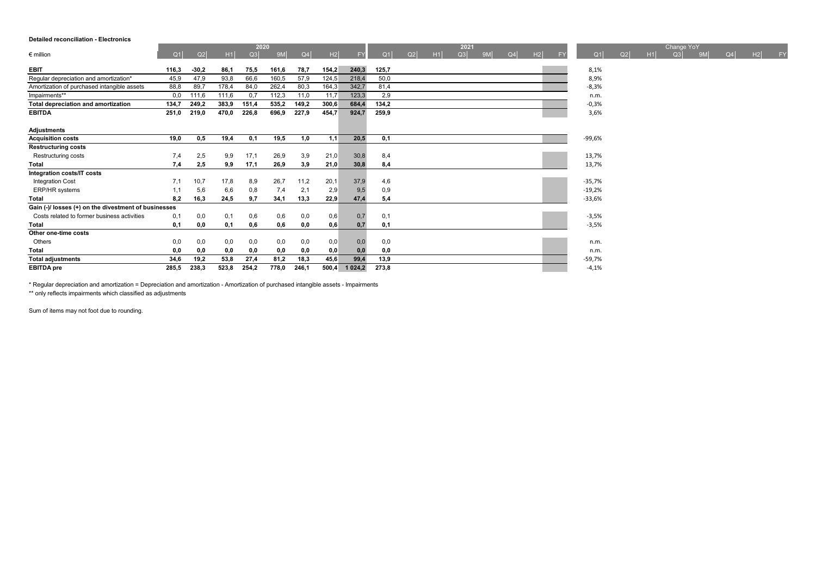## **Detailed reconciliation - Electronics**

|                                                      |       |         |       | 2020  |       |       |       |           |       |    |    | 2021 |    |    |    |           |                |    |    | Change YoY |    |    |    |           |
|------------------------------------------------------|-------|---------|-------|-------|-------|-------|-------|-----------|-------|----|----|------|----|----|----|-----------|----------------|----|----|------------|----|----|----|-----------|
| $\epsilon$ million                                   | Q1    | Q2      | H1    | Q3    | 9M    | Q4    | H2    | <b>FY</b> | Q1    | Q2 | H1 | Q3   | 9M | Q4 | H2 | <b>FY</b> | Q <sub>1</sub> | Q2 | H1 | Q3         | 9M | Q4 | H2 | <b>FY</b> |
| <b>EBIT</b>                                          | 116,3 | $-30,2$ | 86,1  | 75,5  | 161,6 | 78,7  | 154,2 | 240,3     | 125,7 |    |    |      |    |    |    |           | 8,1%           |    |    |            |    |    |    |           |
| Regular depreciation and amortization*               | 45,9  | 47,9    | 93,8  | 66,6  | 160,5 | 57,9  | 124,5 | 218,4     | 50,0  |    |    |      |    |    |    |           | 8,9%           |    |    |            |    |    |    |           |
| Amortization of purchased intangible assets          | 88,8  | 89,7    | 178,4 | 84,0  | 262,4 | 80,3  | 164,3 | 342,7     | 81,4  |    |    |      |    |    |    |           | $-8,3%$        |    |    |            |    |    |    |           |
| Impairments**                                        | 0,0   | 111,6   | 111,6 | 0,7   | 112,3 | 11,0  | 11,7  | 123,3     | 2,9   |    |    |      |    |    |    |           | n.m.           |    |    |            |    |    |    |           |
| <b>Total depreciation and amortization</b>           | 134,7 | 249,2   | 383,9 | 151,4 | 535,2 | 149,2 | 300,6 | 684,4     | 134,2 |    |    |      |    |    |    |           | $-0,3%$        |    |    |            |    |    |    |           |
| <b>EBITDA</b>                                        | 251,0 | 219,0   | 470,0 | 226,8 | 696,9 | 227,9 | 454,7 | 924,7     | 259,9 |    |    |      |    |    |    |           | 3,6%           |    |    |            |    |    |    |           |
| <b>Adjustments</b>                                   |       |         |       |       |       |       |       |           |       |    |    |      |    |    |    |           |                |    |    |            |    |    |    |           |
| <b>Acquisition costs</b>                             | 19,0  | 0,5     | 19,4  | 0,1   | 19,5  | 1,0   | 1,1   | 20,5      | 0,1   |    |    |      |    |    |    |           | $-99,6%$       |    |    |            |    |    |    |           |
| <b>Restructuring costs</b>                           |       |         |       |       |       |       |       |           |       |    |    |      |    |    |    |           |                |    |    |            |    |    |    |           |
| Restructuring costs                                  | 7,4   | 2,5     | 9,9   | 17,1  | 26,9  | 3,9   | 21,0  | 30,8      | 8,4   |    |    |      |    |    |    |           | 13,7%          |    |    |            |    |    |    |           |
| <b>Total</b>                                         | 7,4   | 2,5     | 9,9   | 17,1  | 26,9  | 3,9   | 21,0  | 30,8      | 8,4   |    |    |      |    |    |    |           | 13,7%          |    |    |            |    |    |    |           |
| Integration costs/IT costs                           |       |         |       |       |       |       |       |           |       |    |    |      |    |    |    |           |                |    |    |            |    |    |    |           |
| <b>Integration Cost</b>                              | 7,1   | 10,7    | 17,8  | 8,9   | 26,7  | 11,2  | 20,1  | 37,9      | 4,6   |    |    |      |    |    |    |           | $-35,7%$       |    |    |            |    |    |    |           |
| ERP/HR systems                                       | 1,1   | 5,6     | 6,6   | 0,8   | 7,4   | 2,1   | 2,9   | 9,5       | 0,9   |    |    |      |    |    |    |           | $-19,2%$       |    |    |            |    |    |    |           |
| <b>Total</b>                                         | 8,2   | 16,3    | 24,5  | 9,7   | 34,1  | 13,3  | 22,9  | 47,4      | 5,4   |    |    |      |    |    |    |           | $-33,6%$       |    |    |            |    |    |    |           |
| Gain (-)/ losses (+) on the divestment of businesses |       |         |       |       |       |       |       |           |       |    |    |      |    |    |    |           |                |    |    |            |    |    |    |           |
| Costs related to former business activities          | 0,1   | 0,0     | 0,1   | 0,6   | 0,6   | 0,0   | 0,6   | 0,7       | 0,1   |    |    |      |    |    |    |           | $-3,5%$        |    |    |            |    |    |    |           |
| <b>Total</b>                                         | 0,1   | 0,0     | 0,1   | 0,6   | 0,6   | 0,0   | 0,6   | 0,7       | 0,1   |    |    |      |    |    |    |           | $-3,5%$        |    |    |            |    |    |    |           |
| Other one-time costs                                 |       |         |       |       |       |       |       |           |       |    |    |      |    |    |    |           |                |    |    |            |    |    |    |           |
| Others                                               | 0,0   | 0,0     | 0,0   | 0,0   | 0,0   | 0,0   | 0,0   | 0,0       | 0,0   |    |    |      |    |    |    |           | n.m.           |    |    |            |    |    |    |           |
| <b>Total</b>                                         | 0,0   | 0,0     | 0,0   | 0,0   | 0,0   | 0,0   | 0,0   | 0,0       | 0,0   |    |    |      |    |    |    |           | n.m.           |    |    |            |    |    |    |           |
| <b>Total adjustments</b>                             | 34,6  | 19,2    | 53,8  | 27,4  | 81,2  | 18,3  | 45,6  | 99,4      | 13,9  |    |    |      |    |    |    |           | $-59,7%$       |    |    |            |    |    |    |           |
| <b>EBITDA pre</b>                                    | 285,5 | 238,3   | 523,8 | 254,2 | 778,0 | 246,1 | 500,4 | 1 0 24, 2 | 273,8 |    |    |      |    |    |    |           | $-4,1%$        |    |    |            |    |    |    |           |
|                                                      |       |         |       |       |       |       |       |           |       |    |    |      |    |    |    |           |                |    |    |            |    |    |    |           |

\* Regular depreciation and amortization = Depreciation and amortization - Amortization of purchased intangible assets - Impairments

\*\* only reflects impairments which classified as adjustments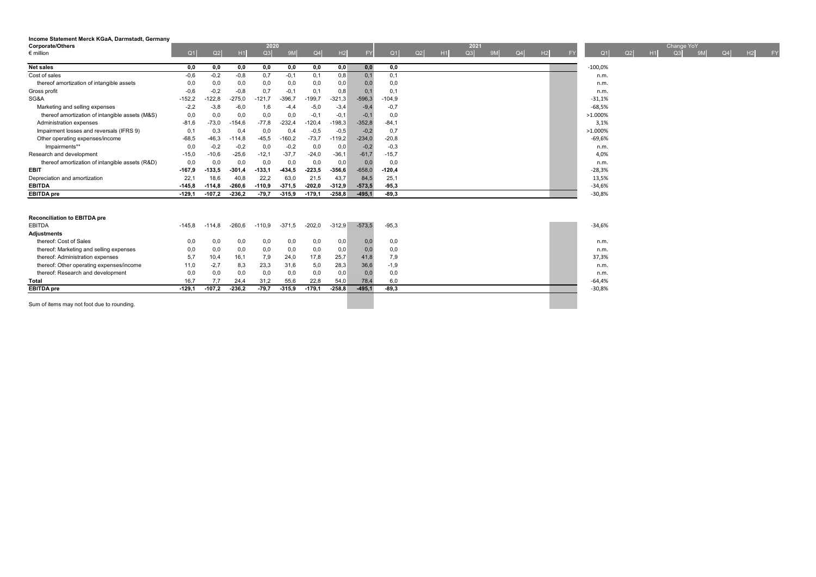| <b>Corporate/Others</b>                         |          |          |          | 2020     |          |          |          |           |          |    |    | 2021 |    |    |    |           |            |    |    | <b>Change YoY</b> |    |    |    |           |
|-------------------------------------------------|----------|----------|----------|----------|----------|----------|----------|-----------|----------|----|----|------|----|----|----|-----------|------------|----|----|-------------------|----|----|----|-----------|
| $\epsilon$ million                              | Q1       | Q2       | H1       | Q3       | 9M       | Q4       | H2       | <b>FY</b> | Q1       | Q2 | H1 | Q3   | 9M | Q4 | H2 | <b>FY</b> | Q1         | Q2 | H1 | Q3                | 9M | Q4 | H2 | <b>FY</b> |
| <b>Net sales</b>                                | 0,0      | 0,0      | 0,0      | 0, 0     | 0,0      | 0,0      | 0,0      | 0,0       | 0,0      |    |    |      |    |    |    |           | $-100,0%$  |    |    |                   |    |    |    |           |
| Cost of sales                                   | $-0,6$   | $-0,2$   | $-0,8$   | 0,7      | $-0,1$   | 0,1      | 0,8      | 0,1       | 0,1      |    |    |      |    |    |    |           | n.m.       |    |    |                   |    |    |    |           |
| thereof amortization of intangible assets       | 0,0      | 0,0      | 0,0      | 0,0      | 0,0      | 0,0      | 0,0      | 0,0       | 0,0      |    |    |      |    |    |    |           | n.m.       |    |    |                   |    |    |    |           |
| Gross profit                                    | $-0,6$   | $-0,2$   | $-0,8$   | 0,7      | $-0,1$   | 0,1      | 0,8      | 0,1       | 0,1      |    |    |      |    |    |    |           | n.m.       |    |    |                   |    |    |    |           |
| SG&A                                            | $-152,2$ | $-122,8$ | $-275,0$ | $-121,7$ | $-396,7$ | $-199,7$ | $-321,3$ | $-596,3$  | $-104,9$ |    |    |      |    |    |    |           | $-31,1%$   |    |    |                   |    |    |    |           |
| Marketing and selling expenses                  | $-2,2$   | $-3,8$   | $-6,0$   | 1,6      | $-4,4$   | $-5,0$   | $-3,4$   | $-9,4$    | $-0,7$   |    |    |      |    |    |    |           | $-68,5%$   |    |    |                   |    |    |    |           |
| thereof amortization of intangible assets (M&S) | 0,0      | 0,0      | 0,0      | 0,0      | 0,0      | $-0,1$   | $-0,1$   | $-0,1$    | 0,0      |    |    |      |    |    |    |           | $>1.000\%$ |    |    |                   |    |    |    |           |
| Administration expenses                         | $-81,6$  | $-73,0$  | $-154,6$ | $-77,8$  | $-232,4$ | $-120,4$ | $-198,3$ | $-352,8$  | $-84,1$  |    |    |      |    |    |    |           | 3,1%       |    |    |                   |    |    |    |           |
| Impairment losses and reversals (IFRS 9)        | 0,1      | 0,3      | 0,4      | 0,0      | 0,4      | $-0,5$   | $-0,5$   | $-0,2$    | 0,7      |    |    |      |    |    |    |           | >1.000%    |    |    |                   |    |    |    |           |
| Other operating expenses/income                 | $-68,5$  | $-46,3$  | $-114,8$ | $-45,5$  | $-160,2$ | $-73,7$  | $-119,2$ | $-234,0$  | $-20,8$  |    |    |      |    |    |    |           | $-69,6%$   |    |    |                   |    |    |    |           |
| Impairments**                                   | 0,0      | $-0,2$   | $-0,2$   | 0,0      | $-0,2$   | 0,0      | 0,0      | $-0,2$    | $-0,3$   |    |    |      |    |    |    |           | n.m.       |    |    |                   |    |    |    |           |
| Research and development                        | $-15,0$  | $-10,6$  | $-25,6$  | $-12,1$  | $-37,7$  | $-24,0$  | $-36,1$  | $-61,7$   | $-15,7$  |    |    |      |    |    |    |           | 4,0%       |    |    |                   |    |    |    |           |
| thereof amortization of intangible assets (R&D) | 0,0      | 0,0      | 0,0      | 0,0      | 0,0      | 0,0      | 0,0      | 0,0       | 0,0      |    |    |      |    |    |    |           | n.m.       |    |    |                   |    |    |    |           |
| <b>EBIT</b>                                     | $-167,9$ | $-133,5$ | $-301,4$ | $-133,1$ | $-434,5$ | $-223,5$ | $-356,6$ | $-658,0$  | $-120,4$ |    |    |      |    |    |    |           | $-28,3%$   |    |    |                   |    |    |    |           |
| Depreciation and amortization                   | 22,1     | 18,6     | 40,8     | 22,2     | 63,0     | 21,5     | 43,7     | 84,5      | 25,1     |    |    |      |    |    |    |           | 13,5%      |    |    |                   |    |    |    |           |
| <b>EBITDA</b>                                   | $-145,8$ | $-114,8$ | $-260,6$ | $-110,9$ | $-371,5$ | $-202,0$ | $-312,9$ | $-573,5$  | $-95,3$  |    |    |      |    |    |    |           | $-34,6%$   |    |    |                   |    |    |    |           |
| <b>EBITDA</b> pre                               | $-129,1$ | $-107,2$ | $-236,2$ | $-79,7$  | $-315,9$ | $-179,1$ | $-258,8$ | $-495,1$  | $-89,3$  |    |    |      |    |    |    |           | $-30,8%$   |    |    |                   |    |    |    |           |
| <b>Reconciliation to EBITDA pre</b>             |          |          |          |          |          |          |          |           |          |    |    |      |    |    |    |           |            |    |    |                   |    |    |    |           |
| <b>EBITDA</b>                                   | $-145,8$ | -114,8   | $-260,6$ | $-110,9$ | $-371,5$ | $-202,0$ | $-312,9$ | $-573,5$  | $-95,3$  |    |    |      |    |    |    |           | $-34,6%$   |    |    |                   |    |    |    |           |
| <b>Adjustments</b>                              |          |          |          |          |          |          |          |           |          |    |    |      |    |    |    |           |            |    |    |                   |    |    |    |           |
| thereof: Cost of Sales                          | 0,0      | 0,0      | 0,0      | 0,0      | 0,0      | 0,0      | 0,0      | 0,0       | 0,0      |    |    |      |    |    |    |           | n.m.       |    |    |                   |    |    |    |           |
| thereof: Marketing and selling expenses         | 0,0      | 0,0      | 0,0      | 0,0      | 0,0      | 0,0      | 0,0      | 0,0       | 0,0      |    |    |      |    |    |    |           | n.m.       |    |    |                   |    |    |    |           |
| thereof: Administration expenses                | 5,7      | 10,4     | 16,1     | 7,9      | 24,0     | 17,8     | 25,7     | 41,8      | 7,9      |    |    |      |    |    |    |           | 37,3%      |    |    |                   |    |    |    |           |
| thereof: Other operating expenses/income        | 11,0     | $-2,7$   | 8,3      | 23,3     | 31,6     | 5,0      | 28,3     | 36,6      | $-1,9$   |    |    |      |    |    |    |           | n.m.       |    |    |                   |    |    |    |           |
| thereof: Research and development               | 0,0      | 0,0      | 0,0      | 0,0      | 0,0      | 0,0      | 0,0      | 0,0       | 0,0      |    |    |      |    |    |    |           | n.m.       |    |    |                   |    |    |    |           |
| <b>Total</b>                                    | 16,7     | 7,7      | 24,4     | 31,2     | 55,6     | 22,8     | 54,0     | 78,4      | 6,0      |    |    |      |    |    |    |           | $-64,4%$   |    |    |                   |    |    |    |           |
| <b>EBITDA</b> pre                               | $-129,1$ | $-107,2$ | $-236,2$ | $-79,7$  | $-315,9$ | $-179,1$ | $-258,8$ | $-495,1$  | $-89,3$  |    |    |      |    |    |    |           | $-30,8%$   |    |    |                   |    |    |    |           |
|                                                 |          |          |          |          |          |          |          |           |          |    |    |      |    |    |    |           |            |    |    |                   |    |    |    |           |
| Sum of items may not foot due to rounding.      |          |          |          |          |          |          |          |           |          |    |    |      |    |    |    |           |            |    |    |                   |    |    |    |           |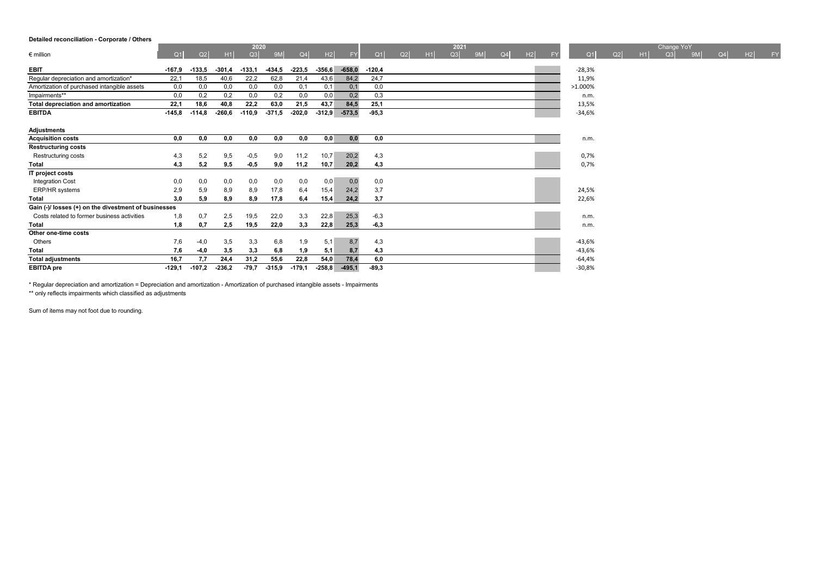#### **Detailed reconciliation - Corporate / Others**

|                                                      |                |          |          | 2020     |           |          |          |           |          |    |    | 2021 |    |    |    |           |          |    |    | Change YoY |    |    |    |    |
|------------------------------------------------------|----------------|----------|----------|----------|-----------|----------|----------|-----------|----------|----|----|------|----|----|----|-----------|----------|----|----|------------|----|----|----|----|
| $\epsilon$ million                                   | Q <sub>1</sub> | Q2       | H1       | Q3       | <b>9M</b> | Q4       | H2       | <b>FY</b> | Q1       | Q2 | H1 | Q3   | 9M | Q4 | H2 | <b>FY</b> | Q1       | Q2 | H1 | Q3         | 9M | Q4 | H2 | FY |
| <b>EBIT</b>                                          | $-167,9$       | $-133,5$ | $-301,4$ | $-133,1$ | $-434,5$  | $-223,5$ | $-356,6$ | $-658,0$  | $-120,4$ |    |    |      |    |    |    |           | $-28,3%$ |    |    |            |    |    |    |    |
| Regular depreciation and amortization*               | 22,1           | 18,5     | 40,6     | 22,2     | 62,8      | 21,4     | 43,6     | 84,2      | 24,7     |    |    |      |    |    |    |           | 11,9%    |    |    |            |    |    |    |    |
| Amortization of purchased intangible assets          | 0,0            | 0,0      | 0,0      | 0,0      | 0,0       | 0,1      | 0,1      | 0,1       | 0,0      |    |    |      |    |    |    |           | >1.000%  |    |    |            |    |    |    |    |
| Impairments**                                        | 0,0            | 0,2      | 0,2      | 0,0      | 0,2       | 0,0      | 0,0      | 0,2       | 0,3      |    |    |      |    |    |    |           | n.m.     |    |    |            |    |    |    |    |
| <b>Total depreciation and amortization</b>           | 22,1           | 18,6     | 40,8     | 22,2     | 63,0      | 21,5     | 43,7     | 84,5      | 25,1     |    |    |      |    |    |    |           | 13,5%    |    |    |            |    |    |    |    |
| <b>EBITDA</b>                                        | $-145,8$       | $-114,8$ | $-260,6$ | $-110,9$ | $-371,5$  | $-202,0$ | $-312,9$ | $-573,5$  | $-95,3$  |    |    |      |    |    |    |           | $-34,6%$ |    |    |            |    |    |    |    |
| <b>Adjustments</b>                                   |                |          |          |          |           |          |          |           |          |    |    |      |    |    |    |           |          |    |    |            |    |    |    |    |
| <b>Acquisition costs</b>                             | 0,0            | 0,0      | 0,0      | 0,0      | 0,0       | 0,0      | 0,0      | 0,0       | 0,0      |    |    |      |    |    |    |           | n.m.     |    |    |            |    |    |    |    |
| <b>Restructuring costs</b>                           |                |          |          |          |           |          |          |           |          |    |    |      |    |    |    |           |          |    |    |            |    |    |    |    |
| <b>Restructuring costs</b>                           | 4,3            | 5,2      | 9,5      | $-0,5$   | 9,0       | 11,2     | 10,7     | 20,2      | 4,3      |    |    |      |    |    |    |           | 0,7%     |    |    |            |    |    |    |    |
| <b>Total</b>                                         | 4,3            | 5,2      | 9,5      | $-0,5$   | 9,0       | 11,2     | 10,7     | 20,2      | 4,3      |    |    |      |    |    |    |           | 0,7%     |    |    |            |    |    |    |    |
| IT project costs                                     |                |          |          |          |           |          |          |           |          |    |    |      |    |    |    |           |          |    |    |            |    |    |    |    |
| <b>Integration Cost</b>                              | 0,0            | 0,0      | 0,0      | 0,0      | 0,0       | 0,0      | 0,0      | 0,0       | 0,0      |    |    |      |    |    |    |           |          |    |    |            |    |    |    |    |
| <b>ERP/HR systems</b>                                | 2,9            | 5,9      | 8,9      | 8,9      | 17,8      | 6,4      | 15,4     | 24,2      | 3,7      |    |    |      |    |    |    |           | 24,5%    |    |    |            |    |    |    |    |
| <b>Total</b>                                         | 3,0            | 5,9      | 8,9      | 8,9      | 17,8      | 6,4      | 15,4     | 24,2      | 3,7      |    |    |      |    |    |    |           | 22,6%    |    |    |            |    |    |    |    |
| Gain (-)/ losses (+) on the divestment of businesses |                |          |          |          |           |          |          |           |          |    |    |      |    |    |    |           |          |    |    |            |    |    |    |    |
| Costs related to former business activities          | 1,8            | 0,7      | 2,5      | 19,5     | 22,0      | 3,3      | 22,8     | 25,3      | $-6,3$   |    |    |      |    |    |    |           | n.m.     |    |    |            |    |    |    |    |
| <b>Total</b>                                         | 1,8            | 0,7      | 2,5      | 19,5     | 22,0      | 3,3      | 22,8     | 25,3      | $-6,3$   |    |    |      |    |    |    |           | n.m.     |    |    |            |    |    |    |    |
| Other one-time costs                                 |                |          |          |          |           |          |          |           |          |    |    |      |    |    |    |           |          |    |    |            |    |    |    |    |
| Others                                               | 7,6            | $-4,0$   | 3,5      | 3,3      | 6,8       | 1,9      | 5,1      | 8,7       | 4,3      |    |    |      |    |    |    |           | $-43,6%$ |    |    |            |    |    |    |    |
| <b>Total</b>                                         | 7,6            | $-4,0$   | 3,5      | 3,3      | 6,8       | 1,9      | 5,1      | 8,7       | 4,3      |    |    |      |    |    |    |           | $-43,6%$ |    |    |            |    |    |    |    |
| <b>Total adjustments</b>                             | 16,7           | 7,7      | 24,4     | 31,2     | 55,6      | 22,8     | 54,0     | 78,4      | 6,0      |    |    |      |    |    |    |           | $-64,4%$ |    |    |            |    |    |    |    |
| <b>EBITDA</b> pre                                    | $-129,1$       | $-107,2$ | $-236,2$ | $-79,7$  | $-315,9$  | $-179,1$ | $-258,8$ | $-495,1$  | $-89,3$  |    |    |      |    |    |    |           | $-30,8%$ |    |    |            |    |    |    |    |

\* Regular depreciation and amortization = Depreciation and amortization - Amortization of purchased intangible assets - Impairments

\*\* only reflects impairments which classified as adjustments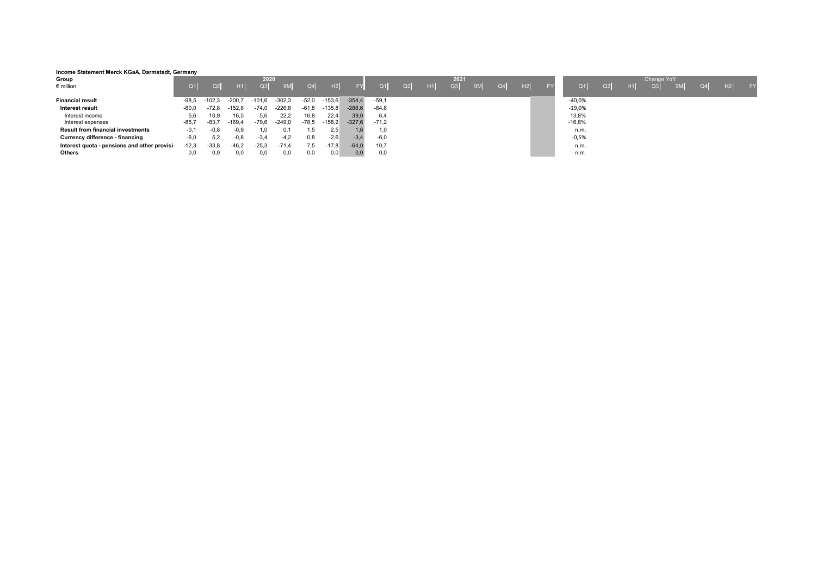| Group                                       |         |          |          | 2020    |           |         |          |          |         |    |    | 2021 |    |    |    |    |          |    |    | Change YoY |    |    |    |     |
|---------------------------------------------|---------|----------|----------|---------|-----------|---------|----------|----------|---------|----|----|------|----|----|----|----|----------|----|----|------------|----|----|----|-----|
| $\epsilon$ million                          | Q1      | Q2       | H1       | Q3      | <b>9M</b> | Q4      | H2       | FY       | Q1.     | Q2 | H1 | Q3   | 9M | Q4 | H2 | FY | Q1       | Q2 | H1 | Q3         | 9M | Q4 | H2 | FY. |
| <b>Financial result</b>                     | $-98,5$ | $-102,3$ | $-200,7$ | -101,6  | $-302,3$  | $-52,0$ | $-153,6$ | $-354,4$ | $-59,1$ |    |    |      |    |    |    |    | $-40,0%$ |    |    |            |    |    |    |     |
| Interest result                             | $-80,0$ | $-72,8$  | $-152,8$ | $-74,0$ | $-226,8$  | $-61,8$ | $-135,8$ | $-288,6$ | $-64,8$ |    |    |      |    |    |    |    | $-19,0%$ |    |    |            |    |    |    |     |
| Interest income                             | 5,6     | 10.9     | 16,5     | 5,6     | 22,2      | 16,8    | 22,4     | 39,0     | 6,4     |    |    |      |    |    |    |    | 13,8%    |    |    |            |    |    |    |     |
| Interest expenses                           | $-85,7$ | $-83,7$  | $-169,4$ | $-79,6$ | $-249,0$  | $-78,5$ | $-158,2$ | $-327,6$ | $-71,2$ |    |    |      |    |    |    |    | $-16,8%$ |    |    |            |    |    |    |     |
| <b>Result from financial investments</b>    | $-0,1$  | $-0,8$   | $-0,9$   | 1,0     | 0,1       | c. I    | 2,5      |          | 1,0     |    |    |      |    |    |    |    | n.m.     |    |    |            |    |    |    |     |
| <b>Currency difference - financing</b>      | $-6,0$  | 5,2      | $-0,8$   | $-3,4$  | $-4,2$    | 0,8     | $-2,6$   | $-3,4$   | $-6,0$  |    |    |      |    |    |    |    | $-0,5%$  |    |    |            |    |    |    |     |
| Interest quota - pensions and other provisi | $-12,3$ | $-33,8$  | $-46,2$  | $-25,3$ | $-71,4$   | 7,5     | $-17,8$  | $-64,0$  | 10,7    |    |    |      |    |    |    |    | n.m.     |    |    |            |    |    |    |     |
| <b>Others</b>                               | 0,0     | 0,0      | 0,0      | 0,0     | 0,0       | 0,0     | 0,0      | 0,0      | 0,0     |    |    |      |    |    |    |    | n.m.     |    |    |            |    |    |    |     |
|                                             |         |          |          |         |           |         |          |          |         |    |    |      |    |    |    |    |          |    |    |            |    |    |    |     |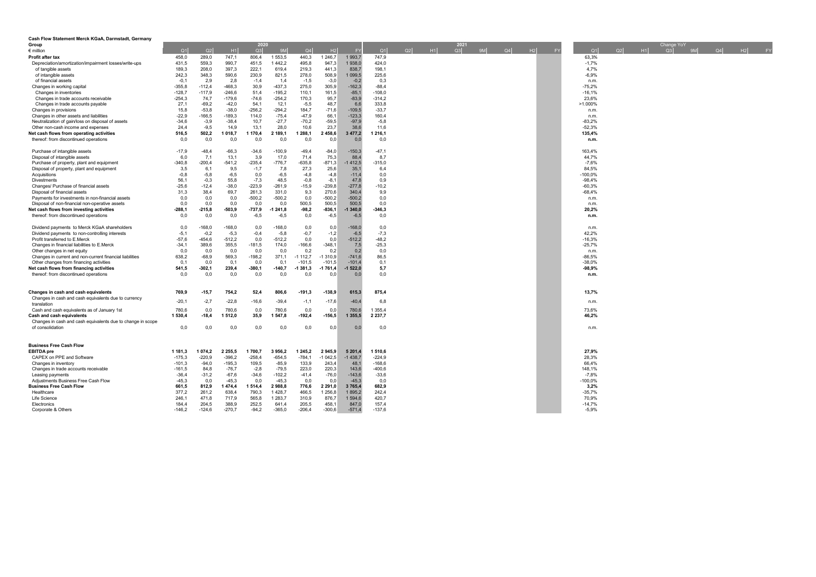| Cash Flow Statement Merck KGaA, Darmstadt, Germany |  |
|----------------------------------------------------|--|
| Group                                              |  |

| οι ναμ                                                      |                |                |             | 74747    |                |           |           |             |             |    |    | 74. Z |            |    |  |                |    | <b>UTRING TUT</b> |    |    |  |
|-------------------------------------------------------------|----------------|----------------|-------------|----------|----------------|-----------|-----------|-------------|-------------|----|----|-------|------------|----|--|----------------|----|-------------------|----|----|--|
| $\epsilon$ million                                          | Q <sub>1</sub> | Q <sub>2</sub> | H1          | Q3       | 9 <sub>0</sub> | Q4        | H2        | <b>FY</b>   | Q1          | Q2 | H1 | Q3    | <b>ION</b> | Q4 |  | Q <sub>1</sub> | Q2 | Q3.               | Q4 | H2 |  |
| Profit after tax                                            | 458,0          | 289,0          | 747,1       | 806,4    | 1 553,5        | 440,3     | 1 246,7   | 1 993,7     | 747,9       |    |    |       |            |    |  | 63,3%          |    |                   |    |    |  |
| Depreciation/amortization/impairment losses/write-ups       | 431,5          | 559,3          | 990,7       | 451,5    | 1442,2         | 495,8     | 947,3     | 1938,0      | 424,0       |    |    |       |            |    |  | $-1,7%$        |    |                   |    |    |  |
| of tangible assets                                          | 189,3          | 208,0          | 397,3       | 222,1    | 619,4          | 219,3     | 441,3     | 838,7       | 198,1       |    |    |       |            |    |  | 4,7%           |    |                   |    |    |  |
| of intangible assets                                        | 242,3          | 348,3          | 590,6       | 230,9    | 821,5          | 278,0     | 508,9     | 1 0 9 9,5   | 225,6       |    |    |       |            |    |  | $-6,9%$        |    |                   |    |    |  |
| of financial assets                                         | $-0,1$         | 2,9            | 2,8         | $-1,4$   | 1,4            | $-1,5$    | $-3,0$    | $-0,2$      | 0,3         |    |    |       |            |    |  | n.m.           |    |                   |    |    |  |
| Changes in working capital                                  | $-355,8$       | $-112,4$       | $-468,3$    | 30,9     | $-437,3$       | 275,0     | 305,9     | $-162,3$    | $-88,4$     |    |    |       |            |    |  | $-75,2%$       |    |                   |    |    |  |
| Changes in inventories                                      | $-128,7$       | $-117,9$       | $-246,6$    | 51,4     | $-195,2$       | 110,1     | 161,5     | $-85,1$     | $-108,0$    |    |    |       |            |    |  | $-16,1%$       |    |                   |    |    |  |
| Changes in trade accounts receivable                        | $-254,3$       | 74,7           | $-179,6$    | $-74,6$  | $-254,2$       | 170,3     | 95,7      | $-83,9$     | $-314,2$    |    |    |       |            |    |  | 23,6%          |    |                   |    |    |  |
| Changes in trade accounts payable                           | 27,1           | $-69,2$        | $-42,0$     | 54,1     | 12,1           | $-5,5$    | 48,7      | 6,6         | 333,8       |    |    |       |            |    |  | >1.000%        |    |                   |    |    |  |
| Changes in provisions                                       | 15,8           | $-53,8$        | $-38,0$     | $-256,2$ | $-294,2$       | 184,7     | $-71,6$   | $-109,5$    | $-33,7$     |    |    |       |            |    |  | n.m.           |    |                   |    |    |  |
| Changes in other assets and liabilities                     | $-22,9$        | $-166,5$       | $-189,3$    | 114,0    | $-75,4$        | $-47,9$   | 66,1      | $-123,3$    | 160,4       |    |    |       |            |    |  | n.m.           |    |                   |    |    |  |
| Neutralization of gain/loss on disposal of assets           | $-34,6$        | $-3,9$         | $-38,4$     | 10,7     | $-27,7$        | $-70,2$   | $-59,5$   | $-97,$      | $-5,8$      |    |    |       |            |    |  | $-83,2%$       |    |                   |    |    |  |
| Other non-cash income and expenses                          | 24,4           | $-9,5$         | 14,9        | 13,1     | 28,0           | 10,6      | 23,7      | 38,6        | 11,6        |    |    |       |            |    |  | $-52,3%$       |    |                   |    |    |  |
| Net cash flows from operating activities                    | 516,5          | 502,2          | 1 018,7     | 1 170,4  | 2 189,1        | 1 288,1   | 2 458,6   | 3 477,2     | 1 216,1     |    |    |       |            |    |  | 135,4%         |    |                   |    |    |  |
| thereof: from discontinued operations                       | 0,0            | 0,0            | 0,0         | 0,0      | 0,0            | 0,0       | 0,0       | 0,0         | 0,0         |    |    |       |            |    |  | n.m.           |    |                   |    |    |  |
|                                                             |                |                |             |          |                |           |           |             |             |    |    |       |            |    |  |                |    |                   |    |    |  |
| Purchase of intangible assets                               | $-17,9$        | $-48,4$        | $-66,3$     | $-34,6$  | $-100,9$       | $-49,4$   | $-84,0$   | $-150,3$    | $-47,1$     |    |    |       |            |    |  | 163,4%         |    |                   |    |    |  |
| Disposal of intangible assets                               | 6,0            | 7,1            | 13,1        | 3,9      | 17,0           | 71,4      | 75,3      | 88,         | 8,7         |    |    |       |            |    |  | 44,7%          |    |                   |    |    |  |
| Purchase of property, plant and equipment                   | $-340,8$       | $-200,4$       | $-541,2$    | $-235,4$ | $-776,7$       | $-635,8$  | $-871,3$  | $-1412,5$   | $-315,0$    |    |    |       |            |    |  | -7,6%          |    |                   |    |    |  |
| Disposal of property, plant and equipment                   | 3,5            | 6,             | 9,5         | $-1,7$   | 7,8            | 27,3      | 25,6      | 35,7        | 6,4         |    |    |       |            |    |  | 84,5%          |    |                   |    |    |  |
| Acquisitions                                                | $-0,8$         | $-5,8$         | $-6,5$      | 0,0      | $-6,5$         | -4,8      | $-4,8$    | $-11.$      | 0,0         |    |    |       |            |    |  | $-100,0%$      |    |                   |    |    |  |
| <b>Divestments</b>                                          | $56,^{\circ}$  | $-0,3$         | 55,8        | $-7,3$   | 48,5           | $-0,8$    | $-8,1$    | 47,8        | 0,9         |    |    |       |            |    |  | $-98,4%$       |    |                   |    |    |  |
| Changes/ Purchase of financial assets                       | $-25,6$        | $-12,4$        | $-38,0$     | $-223,9$ | $-261,9$       | $-15,9$   | $-239,8$  | $-277,8$    | $-10,2$     |    |    |       |            |    |  | $-60,3%$       |    |                   |    |    |  |
| Disposal of financial assets                                |                |                |             | 261,3    | 331,0          |           | 270,6     | 340,4       |             |    |    |       |            |    |  | $-68,4%$       |    |                   |    |    |  |
|                                                             | 31,3           | 38,4           | 69,7        |          |                | 9,3       |           |             | 9,9         |    |    |       |            |    |  |                |    |                   |    |    |  |
| Payments for investments in non-financial assets            | 0,0            | 0,0            | 0,0         | $-500,2$ | $-500,2$       | 0,0       | $-500,2$  | $-500,2$    | 0,0         |    |    |       |            |    |  | n.m.           |    |                   |    |    |  |
| Disposal of non-financial non-operative assets              | 0,0            | 0,0            | 0,0         | 0,0      | 0,0            | 500,5     | 500,5     | 500,5       | 0,0         |    |    |       |            |    |  | n.m.           |    |                   |    |    |  |
| Net cash flows from investing activities                    | $-288,7$       | $-215,8$       | $-503,9$    | $-737,9$ | 241,8          | $-98,2$   | $-836,1$  | $-1340,0$   | $-346,3$    |    |    |       |            |    |  | 20,2%          |    |                   |    |    |  |
| thereof: from discontinued operations                       | 0,0            | 0,0            | 0,0         | $-6,5$   | $-6,5$         | 0,0       | $-6,5$    | $-6,5$      | 0,0         |    |    |       |            |    |  | n.m.           |    |                   |    |    |  |
|                                                             |                |                |             |          |                |           |           |             |             |    |    |       |            |    |  |                |    |                   |    |    |  |
| Dividend payments to Merck KGaA shareholders                | 0,0            | $-168,0$       | $-168,0$    | 0,0      | $-168,0$       | 0,0       | 0,0       | $-168,0$    | 0,0         |    |    |       |            |    |  | n.m.           |    |                   |    |    |  |
| Dividend payments to non-controlling interests              | $-5,1$         | $-0,2$         | $-5,3$      | $-0,4$   | $-5,8$         | $-0,7$    | $-1,2$    | $-6,5$      | $-7,3$      |    |    |       |            |    |  | 42,2%          |    |                   |    |    |  |
| Profit transferred to E.Merck                               | $-57,6$        | $-454,6$       | $-512,2$    | 0,0      | $-512,2$       | 0,0       | 0,0       | $-512,2$    | $-48,2$     |    |    |       |            |    |  | $-16,3%$       |    |                   |    |    |  |
| Changes in financial liabilities to E.Merck                 | $-34,7$        | 389,6          | 355,5       | $-181,5$ | 174,0          | -166,6    | $-348,1$  | 7,5         | $-25,3$     |    |    |       |            |    |  | $-25,7%$       |    |                   |    |    |  |
| Other changes in net equity                                 | 0,0            | 0,0            | 0,0         | 0,0      | 0,0            | 0,2       | 0,2       | 0,2         | 0,0         |    |    |       |            |    |  | n.m.           |    |                   |    |    |  |
| Changes in current and non-current financial liabilities    | 638,2          | $-68,9$        | 569,3       | $-198,2$ | 371,7          | $-1112,7$ | $-1310,9$ | $-741,6$    | 86,5        |    |    |       |            |    |  | $-86,5%$       |    |                   |    |    |  |
| Other changes from financing activities                     | 0,1            | 0,0            | 0,1         | 0,0      | 0,1            | $-101,5$  | $-101,5$  | $-101,4$    | 0,1         |    |    |       |            |    |  | $-38,0%$       |    |                   |    |    |  |
| Net cash flows from financing activities                    | 541,5          | $-302,1$       | 239,4       | $-380,1$ | $-140,7$       | $-1381,3$ | $-1761,4$ | $-1,522,0$  | 5,7         |    |    |       |            |    |  | $-98,9%$       |    |                   |    |    |  |
| thereof: from discontinued operations                       | 0,0            | 0,0            | 0,0         | 0,0      | 0,0            | 0,0       | 0.0       | 0,0         | 0,0         |    |    |       |            |    |  | n.m.           |    |                   |    |    |  |
|                                                             |                |                |             |          |                |           |           |             |             |    |    |       |            |    |  |                |    |                   |    |    |  |
|                                                             |                |                |             |          |                |           |           |             |             |    |    |       |            |    |  |                |    |                   |    |    |  |
| Changes in cash and cash equivalents                        | 769,9          | $-15,7$        | 754,2       | 52,4     | 806,6          | $-191,3$  | $-138,9$  | 615,3       | 875,4       |    |    |       |            |    |  | 13,7%          |    |                   |    |    |  |
| Changes in cash and cash equivalents due to currency        | $-20,1$        | $-2,7$         | $-22,8$     | $-16,6$  | $-39,4$        | $-1,1$    | $-17,6$   | $-40,4$     | 6,8         |    |    |       |            |    |  | n.m.           |    |                   |    |    |  |
| translation                                                 |                |                |             |          |                |           |           |             |             |    |    |       |            |    |  |                |    |                   |    |    |  |
| Cash and cash equivalents as of January 1st                 | 780,6          | 0,0            | 780,6       | 0,0      | 780,6          | 0,0       | 0,0       | 780,6       | 1 3 5 5, 4  |    |    |       |            |    |  | 73,6%          |    |                   |    |    |  |
| <b>Cash and cash equivalents</b>                            | 1 530,4        | $-18,4$        | 1 512,0     | 35,9     | 1 547,8        | $-192,4$  | $-156,5$  | 1 3 5 5 , 5 | 2 2 3 7 , 7 |    |    |       |            |    |  | 46,2%          |    |                   |    |    |  |
| Changes in cash and cash equivalents due to change in scope |                |                |             |          |                |           |           |             |             |    |    |       |            |    |  |                |    |                   |    |    |  |
| of consolidation                                            | 0,0            | 0,0            | 0,0         | 0,0      | 0,0            | 0,0       | 0,0       | 0,0         | 0,0         |    |    |       |            |    |  | n.m.           |    |                   |    |    |  |
|                                                             |                |                |             |          |                |           |           |             |             |    |    |       |            |    |  |                |    |                   |    |    |  |
| <b>Business Free Cash Flow</b>                              |                |                |             |          |                |           |           |             |             |    |    |       |            |    |  |                |    |                   |    |    |  |
|                                                             |                |                |             |          |                |           |           |             |             |    |    |       |            |    |  |                |    |                   |    |    |  |
| <b>EBITDA</b> pre                                           | 1 181,3        | 1 0 7 4 , 2    | 2 2 5 5 , 5 | 1 700,7  | 3 9 5 6, 2     | 1 245,2   | 2 945,9   | 5 201,4     | 1 510,6     |    |    |       |            |    |  | 27,9%          |    |                   |    |    |  |
| CAPEX on PPE and Software                                   | $-175,3$       | $-220,9$       | $-396,2$    | $-258,4$ | $-654,5$       | $-784,1$  | $-1042,5$ | $-1438,7$   | $-224,9$    |    |    |       |            |    |  | 28,3%          |    |                   |    |    |  |
| Changes in inventory                                        | $-101,3$       | $-94,0$        | $-195,3$    | 109,5    | $-85,9$        | 133,9     | 243,4     | 48,1        | $-168,6$    |    |    |       |            |    |  | 66,4%          |    |                   |    |    |  |
| Changes in trade accounts receivable                        | $-161,5$       | 84,8           | $-76,7$     | $-2,8$   | $-79,5$        | 223,0     | 220,3     | 143,6       | $-400,6$    |    |    |       |            |    |  | 148,1%         |    |                   |    |    |  |
| Leasing payments                                            | $-36,4$        | $-31,2$        | $-67,6$     | $-34,6$  | $-102,2$       | $-41,4$   | $-76,0$   | $-143,6$    | $-33,6$     |    |    |       |            |    |  | $-7,8%$        |    |                   |    |    |  |
| Adjustments Business Free Cash Flow                         | $-45,3$        | 0,0            | $-45,3$     | 0,0      | $-45,3$        | 0,0       | 0,0       | $-45,3$     | 0,0         |    |    |       |            |    |  | $-100,0%$      |    |                   |    |    |  |
| <b>Business Free Cash Flow</b>                              | 661,5          | 812,9          | 1 474,4     | 1 514,4  | 2988,8         | 776,6     | 2291,0    | 3 7 6 5, 4  | 682,9       |    |    |       |            |    |  | 3,2%           |    |                   |    |    |  |
| Healthcare                                                  | 377,2          | 261,2          | 638,4       | 790,3    | 1428,7         | 466,5     | 1 256,8   | 1895,2      | 242,4       |    |    |       |            |    |  | $-35,7%$       |    |                   |    |    |  |
| Life Science                                                | 246,7          | 471,8          | 717,9       | 565,8    | 1 283,7        | 310,9     | 876,7     | 1 594,6     | 420,7       |    |    |       |            |    |  | 70,9%          |    |                   |    |    |  |
| Electronics                                                 | 184,4          | 204,5          | 388,9       | 252,5    | 641,4          | 205,5     | 458,1     | 847,0       | 157,4       |    |    |       |            |    |  | $-14,7%$       |    |                   |    |    |  |
| Corporate & Others                                          | $-146,2$       | $-124,6$       | $-270,7$    | $-94,2$  | $-365,0$       | $-206,4$  | $-300,6$  | $-571,4$    | $-137,6$    |    |    |       |            |    |  | $-5,9%$        |    |                   |    |    |  |

| 2020      |                      |                  |                   |                    |                     |    |    | 2021 |    |    |    |           |                      |              |    |    | Change YoY |    |    |    |                        |
|-----------|----------------------|------------------|-------------------|--------------------|---------------------|----|----|------|----|----|----|-----------|----------------------|--------------|----|----|------------|----|----|----|------------------------|
| 3         | 9M                   | Q4               | H2                | <b>FY</b>          | Q1                  | Q2 | H1 | Q3   | 9M | Q4 | H2 | <b>FY</b> |                      | Q1           | Q2 | H1 | Q3         | 9M | Q4 | H2 | $\mathsf{F}\mathsf{Y}$ |
| ,4        | 1 553,5              | 440,3            | 1 246,7           | 1 9 9 3 , 7        | 747,9               |    |    |      |    |    |    |           |                      | 63,3%        |    |    |            |    |    |    |                        |
| ,5        | 1 4 4 2, 2           | 495,8            | 947,3             | 1938,0             | 424,0               |    |    |      |    |    |    |           |                      | $-1,7%$      |    |    |            |    |    |    |                        |
| $\cdot$ 1 | 619,4                | 219,3            | 441,3             | 838,7              | 198,1               |    |    |      |    |    |    |           |                      | 4,7%         |    |    |            |    |    |    |                        |
| 9,        | 821,5                | 278,0            | 508,9             | 1 0 9 9, 5         | 225,6               |    |    |      |    |    |    |           |                      | $-6,9%$      |    |    |            |    |    |    |                        |
| 4,        | 1,4                  | $-1,5$           | $-3,0$            | $-0,2$             | 0,3                 |    |    |      |    |    |    |           |                      | n.m.         |    |    |            |    |    |    |                        |
| 9,        | $-437,3$             | 275,0            | 305,9             | $-162,3$           | $-88,4$<br>$-108,0$ |    |    |      |    |    |    |           | $-75,2%$<br>$-16,1%$ |              |    |    |            |    |    |    |                        |
| ,4<br>6,  | $-195,2$<br>$-254,2$ | 110,1<br>170,3   | 161,5<br>95,7     | $-85,1$<br>$-83,9$ | $-314,2$            |    |    |      |    |    |    |           | 23,6%                |              |    |    |            |    |    |    |                        |
| .1        | 12,1                 | $-5,5$           | 48,7              | 6,6                | 333,8               |    |    |      |    |    |    |           | $>1.000\%$           |              |    |    |            |    |    |    |                        |
| ,2        | $-294,2$             | 184,7            | $-71,6$           | $-109,5$           | $-33,7$             |    |    |      |    |    |    |           |                      | n.m.         |    |    |            |    |    |    |                        |
| ,0        | $-75,4$              | $-47,9$          | 66,1              | $-123,3$           | 160,4               |    |    |      |    |    |    |           |                      | n.m.         |    |    |            |    |    |    |                        |
| .7        | $-27,7$              | $-70,2$          | $-59,5$           | $-97,9$            | $-5,8$              |    |    |      |    |    |    |           | $-83,2%$             |              |    |    |            |    |    |    |                        |
| . 1       | 28,0                 | 10,6             | 23,7              | 38,6               | 11,6                |    |    |      |    |    |    |           | $-52,3%$             |              |    |    |            |    |    |    |                        |
| .4        | 2 189,1              | 1 288,1          | 2 4 5 8,6         | 3 477,2            | 1 2 1 6, 1          |    |    |      |    |    |    |           | 135,4%               |              |    |    |            |    |    |    |                        |
| 0,        | 0,0                  | 0,0              | 0,0               | 0,0                | 0,0                 |    |    |      |    |    |    |           |                      | n.m.         |    |    |            |    |    |    |                        |
| 6,        | $-100,9$             | $-49,4$          | $-84,0$           | $-150,3$           | $-47,1$             |    |    |      |    |    |    |           | 163,4%               |              |    |    |            |    |    |    |                        |
| 9,        | 17,0                 | 71,4             | 75,3              | 88,4               | 8,7                 |    |    |      |    |    |    |           | 44,7%                |              |    |    |            |    |    |    |                        |
| ,4        | $-776,7$             | $-635,8$         | $-871,3$          | $-1412,5$          | $-315,0$            |    |    |      |    |    |    |           |                      | $-7,6%$      |    |    |            |    |    |    |                        |
|           | 7,8                  | 27,3             | 25,6              | 35,1               | 6,4                 |    |    |      |    |    |    |           |                      | 84,5%        |    |    |            |    |    |    |                        |
| 0,        | $-6,5$               | $-4,8$           | $-4,8$            | $-11,4$            | 0,0                 |    |    |      |    |    |    |           | $-100,0%$            |              |    |    |            |    |    |    |                        |
| ,3        | 48,5                 | $-0,8$           | $-8,1$            | 47,8               | 0,9                 |    |    |      |    |    |    |           | $-98,4%$             |              |    |    |            |    |    |    |                        |
| ,9        | $-261,9$             | $-15,9$          | $-239,8$          | $-277,8$           | $-10,2$             |    |    |      |    |    |    |           | $-60,3%$             |              |    |    |            |    |    |    |                        |
| ,3        | 331,0                | 9,3              | 270,6             | 340,4              | 9,9                 |    |    |      |    |    |    |           | $-68,4%$             |              |    |    |            |    |    |    |                        |
| ,2<br>.0  | $-500,2$<br>0,0      | 0,0<br>500,5     | $-500,2$<br>500,5 | $-500,2$<br>500,5  | 0,0<br>0,0          |    |    |      |    |    |    |           |                      | n.m.<br>n.m. |    |    |            |    |    |    |                        |
| .9        | $-1241,8$            | $-98,2$          | $-836,1$          | $-1340,0$          | $-346,3$            |    |    |      |    |    |    |           |                      | 20,2%        |    |    |            |    |    |    |                        |
| ,5        | $-6,5$               | 0,0              | $-6,5$            | $-6,5$             | 0,0                 |    |    |      |    |    |    |           |                      | n.m.         |    |    |            |    |    |    |                        |
|           |                      |                  |                   |                    |                     |    |    |      |    |    |    |           |                      |              |    |    |            |    |    |    |                        |
| ,0        | $-168,0$             | 0,0              | 0,0               | $-168,0$           | 0,0                 |    |    |      |    |    |    |           |                      | n.m.         |    |    |            |    |    |    |                        |
| ,4        | $-5,8$               | $-0,7$           | $-1,2$            | $-6,5$             | $-7,3$              |    |    |      |    |    |    |           | 42,2%                |              |    |    |            |    |    |    |                        |
| 0,        | $-512,2$             | 0,0              | 0,0               | $-512,2$<br>7,5    | $-48,2$             |    |    |      |    |    |    |           | $-16,3%$             |              |    |    |            |    |    |    |                        |
| ,5<br>0,  | 174,0<br>0,0         | $-166,6$<br>0,2  | $-348,1$<br>0,2   | 0,2                | $-25,3$<br>0,0      |    |    |      |    |    |    |           | $-25,7%$             | n.m.         |    |    |            |    |    |    |                        |
| 2,        | 371,1                | $-1$ 112,7       | $-1310,9$         | $-741,6$           | 86,5                |    |    |      |    |    |    |           | $-86,5%$             |              |    |    |            |    |    |    |                        |
| 0,        | 0,1                  | $-101,5$         | $-101,5$          | $-101,4$           | 0,1                 |    |    |      |    |    |    |           | $-38,0%$             |              |    |    |            |    |    |    |                        |
| ,1        | $-140,7$             | $-1381,3$        | $-1761,4$         | $-1522,0$          | 5,7                 |    |    |      |    |    |    |           | $-98,9%$             |              |    |    |            |    |    |    |                        |
| ,0        | 0,0                  | 0,0              | 0,0               | 0,0                | 0,0                 |    |    |      |    |    |    |           |                      | n.m.         |    |    |            |    |    |    |                        |
|           |                      |                  |                   |                    |                     |    |    |      |    |    |    |           |                      |              |    |    |            |    |    |    |                        |
| ,4        | 806,6                | $-191,3$         | $-138,9$          | 615,3              | 875,4               |    |    |      |    |    |    |           |                      | 13,7%        |    |    |            |    |    |    |                        |
| 6,        | $-39,4$              | $-1,1$           | $-17,6$           | $-40,4$            | 6,8                 |    |    |      |    |    |    |           |                      | n.m.         |    |    |            |    |    |    |                        |
| ,0        | 780,6                | 0,0              | 0,0               | 780,6              | 1 3 5 5, 4          |    |    |      |    |    |    |           |                      | 73,6%        |    |    |            |    |    |    |                        |
| ,9        | 1 547,8              | $-192,4$         | $-156,5$          | 1 3 5 5 , 5        | 2 2 3 7 , 7         |    |    |      |    |    |    |           |                      | 46,2%        |    |    |            |    |    |    |                        |
|           |                      |                  |                   |                    |                     |    |    |      |    |    |    |           |                      |              |    |    |            |    |    |    |                        |
| 0,        | 0,0                  | 0,0              | 0,0               | 0,0                | 0,0                 |    |    |      |    |    |    |           |                      | n.m.         |    |    |            |    |    |    |                        |
|           |                      |                  |                   |                    |                     |    |    |      |    |    |    |           |                      |              |    |    |            |    |    |    |                        |
|           |                      |                  |                   |                    |                     |    |    |      |    |    |    |           |                      |              |    |    |            |    |    |    |                        |
| ,7        | 3 9 5 6, 2           | 1 245,2          | 2 945,9           | 5 201,4            | 1 510,6             |    |    |      |    |    |    |           |                      | 27,9%        |    |    |            |    |    |    |                        |
| ,4        | $-654,5$             | $-784,1$         | $-1042,5$         | $-1438,7$          | $-224,9$            |    |    |      |    |    |    |           |                      | 28,3%        |    |    |            |    |    |    |                        |
| ,5        | $-85,9$              | 133,9            | 243,4             | 48,1               | $-168,6$            |    |    |      |    |    |    |           | 66,4%                |              |    |    |            |    |    |    |                        |
| ,8<br>6,  | $-79,5$              | 223,0<br>$-41,4$ | 220,3<br>$-76,0$  | 143,6<br>$-143,6$  | $-400,6$<br>$-33,6$ |    |    |      |    |    |    |           | 148,1%               | $-7,8%$      |    |    |            |    |    |    |                        |
| 0,        | $-102,2$<br>$-45,3$  | 0,0              | 0,0               | $-45,3$            | 0,0                 |    |    |      |    |    |    |           | $-100,0%$            |              |    |    |            |    |    |    |                        |
| .4        | 2988,8               | 776,6            | 2 2 9 1 , 0       | 3 7 6 5, 4         | 682,9               |    |    |      |    |    |    |           |                      | 3,2%         |    |    |            |    |    |    |                        |
| ,3        | 1428,7               | 466,5            | 1 256,8           | 1895,2             | 242,4               |    |    |      |    |    |    |           | $-35,7%$             |              |    |    |            |    |    |    |                        |
| 8.        | 1 283,7              | 310,9            | 876,7             | 1 594,6            | 420,7               |    |    |      |    |    |    |           | 70,9%                |              |    |    |            |    |    |    |                        |
| ,5        | 641,4                | 205,5            | 458,1             | 847,0              | 157,4               |    |    |      |    |    |    |           | $-14,7%$             |              |    |    |            |    |    |    |                        |
| ,2        | $-365,0$             | $-206,4$         | $-300,6$          | $-571,4$           | $-137,6$            |    |    |      |    |    |    |           |                      | $-5,9%$      |    |    |            |    |    |    |                        |